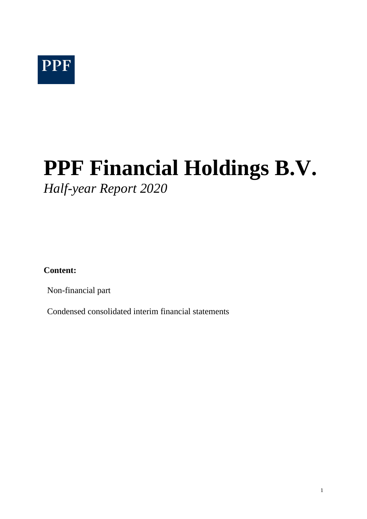# **PPF Financial Holdings B.V.** *Half-year Report 2020*

**Content:**

Non-financial part

Condensed consolidated interim financial statements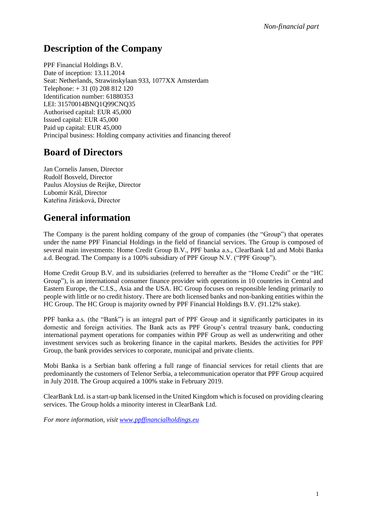## **Description of the Company**

PPF Financial Holdings B.V. Date of inception: 13.11.2014 Seat: Netherlands, Strawinskylaan 933, 1077XX Amsterdam Telephone: + 31 (0) 208 812 120 Identification number: 61880353 LEI: 31570014BNQ1Q99CNQ35 Authorised capital: EUR 45,000 Issued capital: EUR 45,000 Paid up capital: EUR 45,000 Principal business: Holding company activities and financing thereof

## **Board of Directors**

Jan Cornelis Jansen, Director Rudolf Bosveld, Director Paulus Aloysius de Reijke, Director Lubomír Král, Director Kateřina Jirásková, Director

## **General information**

The Company is the parent holding company of the group of companies (the "Group") that operates under the name PPF Financial Holdings in the field of financial services. The Group is composed of several main investments: Home Credit Group B.V., PPF banka a.s., ClearBank Ltd and Mobi Banka a.d. Beograd. The Company is a 100% subsidiary of PPF Group N.V. ("PPF Group").

Home Credit Group B.V. and its subsidiaries (referred to hereafter as the "Home Credit" or the "HC Group"), is an international consumer finance provider with operations in 10 countries in Central and Eastern Europe, the C.I.S., Asia and the USA. HC Group focuses on responsible lending primarily to people with little or no credit history. There are both licensed banks and non-banking entities within the HC Group. The HC Group is majority owned by PPF Financial Holdings B.V. (91.12% stake).

PPF banka a.s. (the "Bank") is an integral part of PPF Group and it significantly participates in its domestic and foreign activities. The Bank acts as PPF Group's central treasury bank, conducting international payment operations for companies within PPF Group as well as underwriting and other investment services such as brokering finance in the capital markets. Besides the activities for PPF Group, the bank provides services to corporate, municipal and private clients.

Mobi Banka is a Serbian bank offering a full range of financial services for retail clients that are predominantly the customers of Telenor Serbia, a telecommunication operator that PPF Group acquired in July 2018. The Group acquired a 100% stake in February 2019.

ClearBank Ltd. is a start-up bank licensed in the United Kingdom which is focused on providing clearing services. The Group holds a minority interest in ClearBank Ltd.

*For more information, visit [www.ppff](http://www.ppf.cz/cs/companies/ppf-financial-holdings-bv)inancialholdings.eu*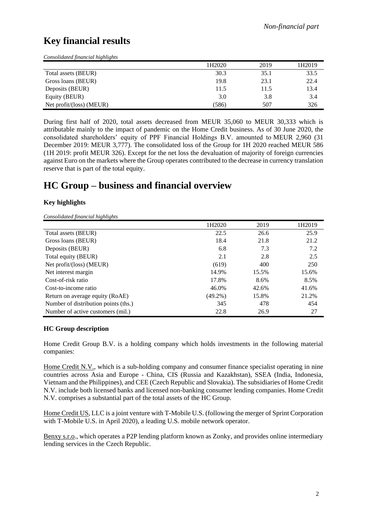## **Key financial results**

*Consolidated financial highlights*

|                           | 1H2020 | 2019 | 1H2019 |
|---------------------------|--------|------|--------|
| Total assets (BEUR)       | 30.3   | 35.1 | 33.5   |
| Gross loans (BEUR)        | 19.8   | 23.1 | 22.4   |
| Deposits (BEUR)           | 11.5   | 11.5 | 13.4   |
| Equity (BEUR)             | 3.0    | 3.8  | 3.4    |
| Net $profit/loss)$ (MEUR) | (586)  | 507  | 326    |

During first half of 2020, total assets decreased from MEUR 35,060 to MEUR 30,333 which is attributable mainly to the impact of pandemic on the Home Credit business. As of 30 June 2020, the consolidated shareholders' equity of PPF Financial Holdings B.V. amounted to MEUR 2,960 (31 December 2019: MEUR 3,777). The consolidated loss of the Group for 1H 2020 reached MEUR 586 (1H 2019: profit MEUR 326). Except for the net loss the devaluation of majority of foreign currencies against Euro on the markets where the Group operates contributed to the decrease in currency translation reserve that is part of the total equity.

## **HC Group – business and financial overview**

#### **Key highlights**

*Consolidated financial highlights*

|                                      | 1H2020     | 2019  | 1H2019 |
|--------------------------------------|------------|-------|--------|
| Total assets (BEUR)                  | 22.5       | 26.6  | 25.9   |
| Gross loans (BEUR)                   | 18.4       | 21.8  | 21.2   |
| Deposits (BEUR)                      | 6.8        | 7.3   | 7.2    |
| Total equity (BEUR)                  | 2.1        | 2.8   | 2.5    |
| Net $profit/loss)$ (MEUR)            | (619)      | 400   | 250    |
| Net interest margin                  | 14.9%      | 15.5% | 15.6%  |
| Cost-of-risk ratio                   | 17.8%      | 8.6%  | 8.5%   |
| Cost-to-income ratio                 | 46.0%      | 42.6% | 41.6%  |
| Return on average equity (RoAE)      | $(49.2\%)$ | 15.8% | 21.2%  |
| Number of distribution points (ths.) | 345        | 478   | 454    |
| Number of active customers (mil.)    | 22.8       | 26.9  | 27     |

#### **HC Group description**

Home Credit Group B.V. is a holding company which holds investments in the following material companies:

Home Credit N.V., which is a sub-holding company and consumer finance specialist operating in nine countries across Asia and Europe - China, CIS (Russia and Kazakhstan), SSEA (India, Indonesia, Vietnam and the Philippines), and CEE (Czech Republic and Slovakia). The subsidiaries of Home Credit N.V. include both licensed banks and licensed non-banking consumer lending companies. Home Credit N.V. comprises a substantial part of the total assets of the HC Group.

Home Credit US, LLC is a joint venture with T-Mobile U.S. (following the merger of Sprint Corporation with T-Mobile U.S. in April 2020), a leading U.S. mobile network operator.

Benxy s.r.o., which operates a P2P lending platform known as Zonky, and provides online intermediary lending services in the Czech Republic.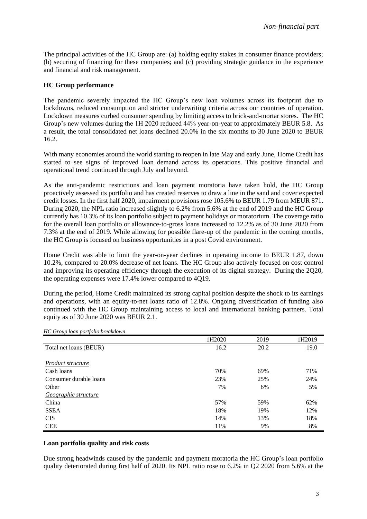The principal activities of the HC Group are: (a) holding equity stakes in consumer finance providers; (b) securing of financing for these companies; and (c) providing strategic guidance in the experience and financial and risk management.

#### **HC Group performance**

The pandemic severely impacted the HC Group's new loan volumes across its footprint due to lockdowns, reduced consumption and stricter underwriting criteria across our countries of operation. Lockdown measures curbed consumer spending by limiting access to brick-and-mortar stores. The HC Group's new volumes during the 1H 2020 reduced 44% year-on-year to approximately BEUR 5.8. As a result, the total consolidated net loans declined 20.0% in the six months to 30 June 2020 to BEUR 16.2.

With many economies around the world starting to reopen in late May and early June, Home Credit has started to see signs of improved loan demand across its operations. This positive financial and operational trend continued through July and beyond.

As the anti-pandemic restrictions and loan payment moratoria have taken hold, the HC Group proactively assessed its portfolio and has created reserves to draw a line in the sand and cover expected credit losses. In the first half 2020, impairment provisions rose 105.6% to BEUR 1.79 from MEUR 871. During 2020, the NPL ratio increased slightly to 6.2% from 5.6% at the end of 2019 and the HC Group currently has 10.3% of its loan portfolio subject to payment holidays or moratorium. The coverage ratio for the overall loan portfolio or allowance-to-gross loans increased to 12.2% as of 30 June 2020 from 7.3% at the end of 2019. While allowing for possible flare-up of the pandemic in the coming months, the HC Group is focused on business opportunities in a post Covid environment.

Home Credit was able to limit the year-on-year declines in operating income to BEUR 1.87, down 10.2%, compared to 20.0% decrease of net loans. The HC Group also actively focused on cost control and improving its operating efficiency through the execution of its digital strategy. During the 2Q20, the operating expenses were 17.4% lower compared to 4Q19.

During the period, Home Credit maintained its strong capital position despite the shock to its earnings and operations, with an equity-to-net loans ratio of 12.8%. Ongoing diversification of funding also continued with the HC Group maintaining access to local and international banking partners. Total equity as of 30 June 2020 was BEUR 2.1.

|                        | 1H2020 | 2019 | 1H2019 |
|------------------------|--------|------|--------|
| Total net loans (BEUR) | 16.2   | 20.2 | 19.0   |
|                        |        |      |        |
| Product structure      |        |      |        |
| Cash loans             | 70%    | 69%  | 71%    |
| Consumer durable loans | 23%    | 25%  | 24%    |
| Other                  | 7%     | 6%   | 5%     |
| Geographic structure   |        |      |        |
| China                  | 57%    | 59%  | 62%    |
| <b>SSEA</b>            | 18%    | 19%  | 12%    |
| <b>CIS</b>             | 14%    | 13%  | 18%    |
| <b>CEE</b>             | 11%    | 9%   | 8%     |

*HC Group loan portfolio breakdown*

#### **Loan portfolio quality and risk costs**

Due strong headwinds caused by the pandemic and payment moratoria the HC Group's loan portfolio quality deteriorated during first half of 2020. Its NPL ratio rose to 6.2% in Q2 2020 from 5.6% at the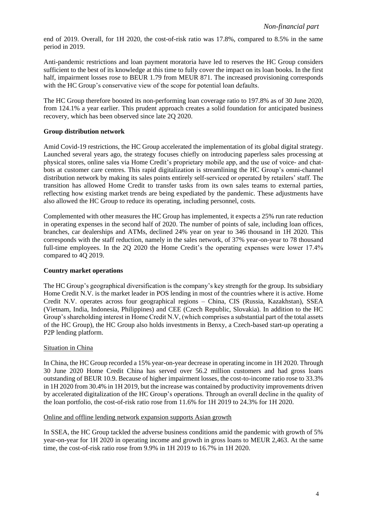end of 2019. Overall, for 1H 2020, the cost-of-risk ratio was 17.8%, compared to 8.5% in the same period in 2019.

Anti-pandemic restrictions and loan payment moratoria have led to reserves the HC Group considers sufficient to the best of its knowledge at this time to fully cover the impact on its loan books. In the first half, impairment losses rose to BEUR 1.79 from MEUR 871. The increased provisioning corresponds with the HC Group's conservative view of the scope for potential loan defaults.

The HC Group therefore boosted its non-performing loan coverage ratio to 197.8% as of 30 June 2020, from 124.1% a year earlier. This prudent approach creates a solid foundation for anticipated business recovery, which has been observed since late 2Q 2020.

#### **Group distribution network**

Amid Covid-19 restrictions, the HC Group accelerated the implementation of its global digital strategy. Launched several years ago, the strategy focuses chiefly on introducing paperless sales processing at physical stores, online sales via Home Credit's proprietary mobile app, and the use of voice- and chatbots at customer care centres. This rapid digitalization is streamlining the HC Group's omni-channel distribution network by making its sales points entirely self-serviced or operated by retailers' staff. The transition has allowed Home Credit to transfer tasks from its own sales teams to external parties, reflecting how existing market trends are being expediated by the pandemic. These adjustments have also allowed the HC Group to reduce its operating, including personnel, costs.

Complemented with other measures the HC Group has implemented, it expects a 25% run rate reduction in operating expenses in the second half of 2020. The number of points of sale, including loan offices, branches, car dealerships and ATMs, declined 24% year on year to 346 thousand in 1H 2020. This corresponds with the staff reduction, namely in the sales network, of 37% year-on-year to 78 thousand full-time employees. In the 2Q 2020 the Home Credit's the operating expenses were lower 17.4% compared to 4Q 2019.

#### **Country market operations**

The HC Group's geographical diversification is the company's key strength for the group. Its subsidiary Home Credit N.V. is the market leader in POS lending in most of the countries where it is active. Home Credit N.V. operates across four geographical regions – China, CIS (Russia, Kazakhstan), SSEA (Vietnam, India, Indonesia, Philippines) and CEE (Czech Republic, Slovakia). In addition to the HC Group's shareholding interest in Home Credit N.V, (which comprises a substantial part of the total assets of the HC Group), the HC Group also holds investments in Benxy, a Czech-based start-up operating a P2P lending platform.

#### Situation in China

In China, the HC Group recorded a 15% year-on-year decrease in operating income in 1H 2020. Through 30 June 2020 Home Credit China has served over 56.2 million customers and had gross loans outstanding of BEUR 10.9. Because of higher impairment losses, the cost-to-income ratio rose to 33.3% in 1H 2020 from 30.4% in 1H 2019, but the increase was contained by productivity improvements driven by accelerated digitalization of the HC Group's operations. Through an overall decline in the quality of the loan portfolio, the cost-of-risk ratio rose from 11.6% for 1H 2019 to 24.3% for 1H 2020.

#### Online and offline lending network expansion supports Asian growth

In SSEA, the HC Group tackled the adverse business conditions amid the pandemic with growth of 5% year-on-year for 1H 2020 in operating income and growth in gross loans to MEUR 2,463. At the same time, the cost-of-risk ratio rose from 9.9% in 1H 2019 to 16.7% in 1H 2020.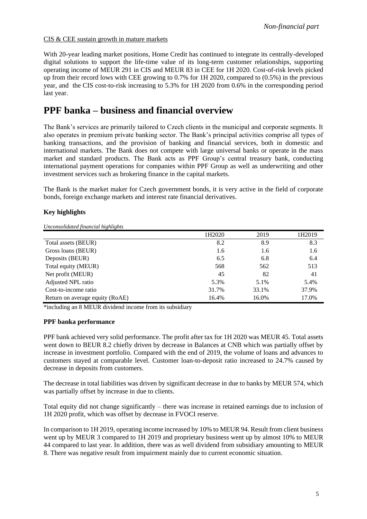#### CIS & CEE sustain growth in mature markets

With 20-year leading market positions, Home Credit has continued to integrate its centrally-developed digital solutions to support the life-time value of its long-term customer relationships, supporting operating income of MEUR 291 in CIS and MEUR 83 in CEE for 1H 2020. Cost-of-risk levels picked up from their record lows with CEE growing to 0.7% for 1H 2020, compared to (0.5%) in the previous year, and the CIS cost-to-risk increasing to 5.3% for 1H 2020 from 0.6% in the corresponding period last year.

## **PPF banka – business and financial overview**

The Bank's services are primarily tailored to Czech clients in the municipal and corporate segments. It also operates in premium private banking sector. The Bank's principal activities comprise all types of banking transactions, and the provision of banking and financial services, both in domestic and international markets. The Bank does not compete with large universal banks or operate in the mass market and standard products. The Bank acts as PPF Group's central treasury bank, conducting international payment operations for companies within PPF Group as well as underwriting and other investment services such as brokering finance in the capital markets.

The Bank is the market maker for Czech government bonds, it is very active in the field of corporate bonds, foreign exchange markets and interest rate financial derivatives.

#### **Key highlights**

*Unconsolidated financial highlights*

|                                 | 1H2020 | 2019  | 1H2019 |
|---------------------------------|--------|-------|--------|
| Total assets (BEUR)             | 8.2    | 8.9   | 8.3    |
| Gross loans (BEUR)              | 1.6    | 1.6   | 1.6    |
| Deposits (BEUR)                 | 6.5    | 6.8   | 6.4    |
| Total equity (MEUR)             | 568    | 562   | 513    |
| Net profit (MEUR)               | 45     | 82    | 41     |
| Adjusted NPL ratio              | 5.3%   | 5.1%  | 5.4%   |
| Cost-to-income ratio            | 31.7%  | 33.1% | 37.9%  |
| Return on average equity (RoAE) | 16.4%  | 16.0% | 17.0%  |

\*including an 8 MEUR dividend income from its subsidiary

#### **PPF banka performance**

PPF bank achieved very solid performance. The profit after tax for 1H 2020 was MEUR 45. Total assets went down to BEUR 8.2 chiefly driven by decrease in Balances at CNB which was partially offset by increase in investment portfolio. Compared with the end of 2019, the volume of loans and advances to customers stayed at comparable level. Customer loan-to-deposit ratio increased to 24.7% caused by decrease in deposits from customers.

The decrease in total liabilities was driven by significant decrease in due to banks by MEUR 574, which was partially offset by increase in due to clients.

Total equity did not change significantly – there was increase in retained earnings due to inclusion of 1H 2020 profit, which was offset by decrease in FVOCI reserve.

In comparison to 1H 2019, operating income increased by 10% to MEUR 94. Result from client business went up by MEUR 3 compared to 1H 2019 and proprietary business went up by almost 10% to MEUR 44 compared to last year. In addition, there was as well dividend from subsidiary amounting to MEUR 8. There was negative result from impairment mainly due to current economic situation.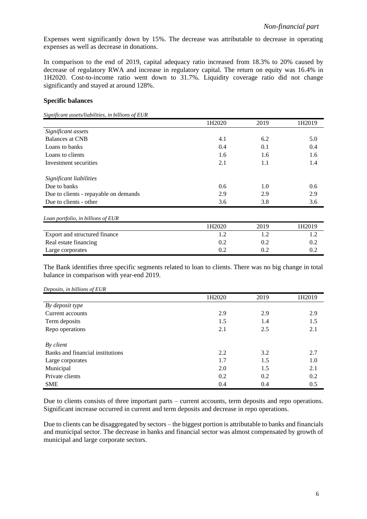Expenses went significantly down by 15%. The decrease was attributable to decrease in operating expenses as well as decrease in donations.

In comparison to the end of 2019, capital adequacy ratio increased from 18.3% to 20% caused by decrease of regulatory RWA and increase in regulatory capital. The return on equity was 16.4% in 1H2020. Cost-to-income ratio went down to 31.7%. Liquidity coverage ratio did not change significantly and stayed at around 128%.

#### **Specific balances**

*Significant assets/liabilities, in billions of EUR*

|                                       | 1H2020 | 2019 | 1H2019 |
|---------------------------------------|--------|------|--------|
| Significant assets                    |        |      |        |
| Balances at CNB                       | 4.1    | 6.2  | 5.0    |
| Loans to banks                        | 0.4    | 0.1  | 0.4    |
| Loans to clients                      | 1.6    | 1.6  | 1.6    |
| Investment securities                 | 2.1    | 1.1  | 1.4    |
| Significant liabilities               |        |      |        |
| Due to banks                          | 0.6    | 1.0  | 0.6    |
| Due to clients - repayable on demands | 2.9    | 2.9  | 2.9    |
| Due to clients - other                | 3.6    | 3.8  | 3.6    |
| Loan portfolio, in billions of EUR    |        |      |        |
|                                       | 1H2020 | 2019 | 1H2019 |
| Export and structured finance         | 1.2    | 1.2  | 1.2    |
| Real estate financing                 | 0.2    | 0.2  | 0.2    |
| Large corporates                      | 0.2    | 0.2  | 0.2    |

The Bank identifies three specific segments related to loan to clients. There was no big change in total balance in comparison with year-end 2019.

|                                  | 1H2020 | 2019 | 1H2019 |
|----------------------------------|--------|------|--------|
| By deposit type                  |        |      |        |
| Current accounts                 | 2.9    | 2.9  | 2.9    |
| Term deposits                    | 1.5    | 1.4  | 1.5    |
| Repo operations                  | 2.1    | 2.5  | 2.1    |
|                                  |        |      |        |
| By client                        |        |      |        |
| Banks and financial institutions | 2.2    | 3.2  | 2.7    |
| Large corporates                 | 1.7    | 1.5  | 1.0    |
| Municipal                        | 2.0    | 1.5  | 2.1    |
| Private clients                  | 0.2    | 0.2  | 0.2    |
| <b>SME</b>                       | 0.4    | 0.4  | 0.5    |

Due to clients consists of three important parts – current accounts, term deposits and repo operations. Significant increase occurred in current and term deposits and decrease in repo operations.

Due to clients can be disaggregated by sectors – the biggest portion is attributable to banks and financials and municipal sector. The decrease in banks and financial sector was almost compensated by growth of municipal and large corporate sectors.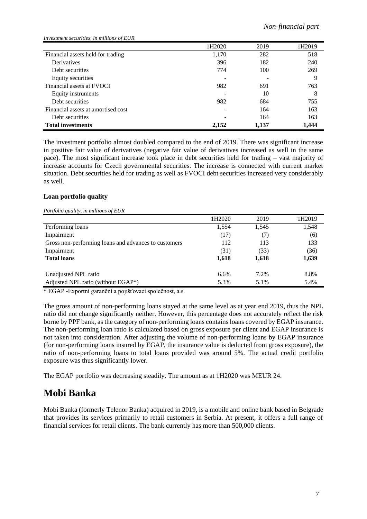| Investment securities, in millions of EUR |        |       |        |
|-------------------------------------------|--------|-------|--------|
|                                           | 1H2020 | 2019  | 1H2019 |
| Financial assets held for trading         | 1,170  | 282   | 518    |
| Derivatives                               | 396    | 182   | 240    |
| Debt securities                           | 774    | 100   | 269    |
| Equity securities                         |        |       | 9      |
| Financial assets at FVOCI                 | 982    | 691   | 763    |
| Equity instruments                        |        | 10    | 8      |
| Debt securities                           | 982    | 684   | 755    |
| Financial assets at amortised cost        |        | 164   | 163    |
| Debt securities                           |        | 164   | 163    |
| <b>Total investments</b>                  | 2,152  | 1,137 | 1,444  |

The investment portfolio almost doubled compared to the end of 2019. There was significant increase in positive fair value of derivatives (negative fair value of derivatives increased as well in the same pace). The most significant increase took place in debt securities held for trading – vast majority of increase accounts for Czech governmental securities. The increase is connected with current market situation. Debt securities held for trading as well as FVOCI debt securities increased very considerably as well.

#### **Loan portfolio quality**

#### *Portfolio quality, in millions of EUR*

|                                                      | 1H2020 | 2019  | 1H2019 |
|------------------------------------------------------|--------|-------|--------|
| Performing loans                                     | 1,554  | 1,545 | 1,548  |
| Impairment                                           | (17)   | (7)   | (6)    |
| Gross non-performing loans and advances to customers | 112    | 113   | 133    |
| Impairment                                           | (31)   | (33)  | (36)   |
| <b>Total loans</b>                                   | 1,618  | 1,618 | 1,639  |
| Unadjusted NPL ratio                                 | 6.6%   | 7.2%  | 8.8%   |
| Adjusted NPL ratio (without EGAP*)                   | 5.3%   | 5.1%  | 5.4%   |

\* EGAP -Exportní garanční a pojišťovací společnost, a.s.

The gross amount of non-performing loans stayed at the same level as at year end 2019, thus the NPL ratio did not change significantly neither. However, this percentage does not accurately reflect the risk borne by PPF bank, as the category of non-performing loans contains loans covered by EGAP insurance. The non-performing loan ratio is calculated based on gross exposure per client and EGAP insurance is not taken into consideration. After adjusting the volume of non-performing loans by EGAP insurance (for non-performing loans insured by EGAP, the insurance value is deducted from gross exposure), the ratio of non-performing loans to total loans provided was around 5%. The actual credit portfolio exposure was thus significantly lower.

The EGAP portfolio was decreasing steadily. The amount as at 1H2020 was MEUR 24.

## **Mobi Banka**

Mobi Banka (formerly Telenor Banka) acquired in 2019, is a mobile and online bank based in Belgrade that provides its services primarily to retail customers in Serbia. At present, it offers a full range of financial services for retail clients. The bank currently has more than 500,000 clients.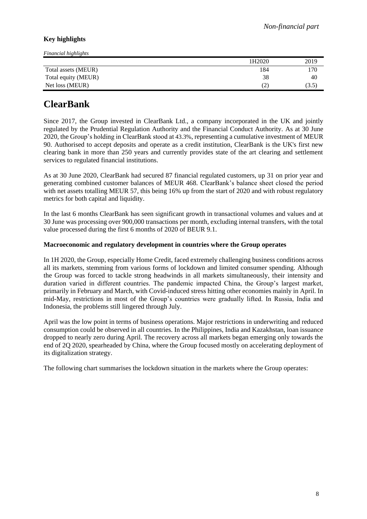#### **Key highlights**

| Financial highlights |                   |       |
|----------------------|-------------------|-------|
|                      | 1H2020            | 2019  |
| Total assets (MEUR)  | 184               | 170   |
| Total equity (MEUR)  | 38                | 40    |
| Net loss (MEUR)      | $\left( 2\right)$ | (3.5) |

## **ClearBank**

Since 2017, the Group invested in ClearBank Ltd., a company incorporated in the UK and jointly regulated by the Prudential Regulation Authority and the Financial Conduct Authority. As at 30 June 2020, the Group's holding in ClearBank stood at 43.3%, representing a cumulative investment of MEUR 90. Authorised to accept deposits and operate as a credit institution, ClearBank is the UK's first new clearing bank in more than 250 years and currently provides state of the art clearing and settlement services to regulated financial institutions.

As at 30 June 2020, ClearBank had secured 87 financial regulated customers, up 31 on prior year and generating combined customer balances of MEUR 468. ClearBank's balance sheet closed the period with net assets totalling MEUR 57, this being 16% up from the start of 2020 and with robust regulatory metrics for both capital and liquidity.

In the last 6 months ClearBank has seen significant growth in transactional volumes and values and at 30 June was processing over 900,000 transactions per month, excluding internal transfers, with the total value processed during the first 6 months of 2020 of BEUR 9.1.

#### **Macroeconomic and regulatory development in countries where the Group operates**

In 1H 2020, the Group, especially Home Credit, faced extremely challenging business conditions across all its markets, stemming from various forms of lockdown and limited consumer spending. Although the Group was forced to tackle strong headwinds in all markets simultaneously, their intensity and duration varied in different countries. The pandemic impacted China, the Group's largest market, primarily in February and March, with Covid-induced stress hitting other economies mainly in April. In mid-May, restrictions in most of the Group's countries were gradually lifted. In Russia, India and Indonesia, the problems still lingered through July.

April was the low point in terms of business operations. Major restrictions in underwriting and reduced consumption could be observed in all countries. In the Philippines, India and Kazakhstan, loan issuance dropped to nearly zero during April. The recovery across all markets began emerging only towards the end of 2Q 2020, spearheaded by China, where the Group focused mostly on accelerating deployment of its digitalization strategy.

The following chart summarises the lockdown situation in the markets where the Group operates: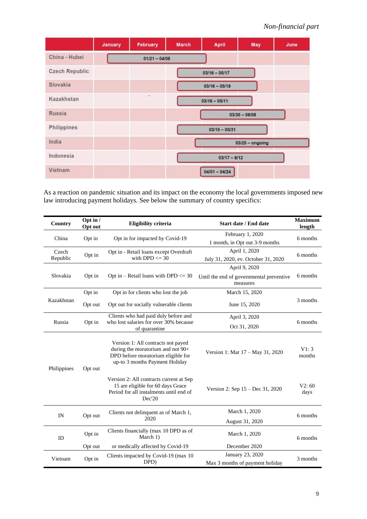|                       | January | February        | <b>March</b> | <b>April</b>    | May               | June |
|-----------------------|---------|-----------------|--------------|-----------------|-------------------|------|
| China - Hubei         |         | $01/21 - 04/08$ |              |                 |                   |      |
| <b>Czech Republic</b> |         |                 |              | $03/16 - 05/17$ |                   |      |
| Slovakia              |         |                 |              | $03/16 - 05/19$ |                   |      |
| Kazakhstan            |         | ٠               |              | $03/16 - 05/11$ |                   |      |
| Russia                |         |                 |              |                 | $03/30 - 06/08$   |      |
| Philippines           |         |                 |              | $03/15 - 05/31$ |                   |      |
| India                 |         |                 |              |                 | $03/25 -$ ongoing |      |
| Indonesia             |         |                 |              | $03/17 - 6/12$  |                   |      |
| Vietnam               |         |                 |              | $04/01 - 04/24$ |                   |      |

As a reaction on pandemic situation and its impact on the economy the local governments imposed new law introducing payment holidays. See below the summary of country specifics:

| Country           | Opt in $/$<br>Opt out | <b>Eligibility criteria</b>                                                                                                                     | <b>Start date / End date</b>                         | <b>Maximum</b><br>length |
|-------------------|-----------------------|-------------------------------------------------------------------------------------------------------------------------------------------------|------------------------------------------------------|--------------------------|
| China             | Opt in                | Opt in for impacted by Covid-19                                                                                                                 | February 1, 2020<br>1 month, in Opt out 3-9 months   | 6 months                 |
| Czech<br>Republic | Opt in                | Opt in - Retail loans except Overdraft<br>with DPD $\leq$ 30                                                                                    | April 1, 2020<br>July 31, 2020, ev. October 31, 2020 | 6 months                 |
|                   |                       |                                                                                                                                                 | April 9, 2020                                        |                          |
| Slovakia          | Opt in                | Opt in – Retail loans with DPD $<= 30$                                                                                                          | Until the end of governmental preventive<br>measures | 6 months                 |
|                   | Opt in                | Opt in for clients who lost the job                                                                                                             | March 15, 2020                                       |                          |
| Kazakhstan        | Opt out               | Opt out for socially vulnerable clients                                                                                                         | June 15, 2020                                        | 3 months                 |
|                   |                       | Clients who had paid duly before and                                                                                                            | April 3, 2020                                        |                          |
| Russia            | Opt in                | who lost salaries for over 30% because<br>of quarantine                                                                                         | Oct 31, 2020                                         | 6 months                 |
| Philippines       | Opt out               | Version 1: All contracts not payed<br>during the moratorium and not 90+<br>DPD before moratorium eligible for<br>up-to 3 months Payment Holiday | Version 1: Mar 17 - May 31, 2020                     | V1:3<br>months           |
|                   |                       | Version 2: All contracts current at Sep<br>15 are eligible for 60 days Grace<br>Period for all instalments until end of<br>Dec'20               | Version 2: Sep $15 - Dec 31, 2020$                   | V2:60<br>days            |
| IN                |                       | Clients not delinquent as of March 1,                                                                                                           | March 1, 2020                                        | 6 months                 |
| Opt out           |                       | 2020                                                                                                                                            | August 31, 2020                                      |                          |
| ID                | Opt in                | Clients financially (max 10 DPD as of<br>March 1)                                                                                               | March 1, 2020                                        |                          |
|                   | Opt out               | or medically affected by Covid-19                                                                                                               | December 2020                                        |                          |
| Vietnam           | Opt in                | Clients impacted by Covid-19 (max 10                                                                                                            | January 23, 2020                                     | 3 months                 |
|                   |                       | DPD)                                                                                                                                            | Max 3 months of payment holiday                      |                          |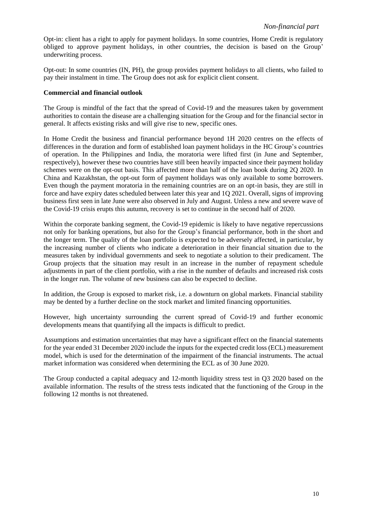Opt-in: client has a right to apply for payment holidays. In some countries, Home Credit is regulatory obliged to approve payment holidays, in other countries, the decision is based on the Group' underwriting process.

Opt-out: In some countries (IN, PH), the group provides payment holidays to all clients, who failed to pay their instalment in time. The Group does not ask for explicit client consent.

#### **Commercial and financial outlook**

The Group is mindful of the fact that the spread of Covid-19 and the measures taken by government authorities to contain the disease are a challenging situation for the Group and for the financial sector in general. It affects existing risks and will give rise to new, specific ones.

In Home Credit the business and financial performance beyond 1H 2020 centres on the effects of differences in the duration and form of established loan payment holidays in the HC Group's countries of operation. In the Philippines and India, the moratoria were lifted first (in June and September, respectively), however these two countries have still been heavily impacted since their payment holiday schemes were on the opt-out basis. This affected more than half of the loan book during 2Q 2020. In China and Kazakhstan, the opt-out form of payment holidays was only available to some borrowers. Even though the payment moratoria in the remaining countries are on an opt-in basis, they are still in force and have expiry dates scheduled between later this year and 1Q 2021. Overall, signs of improving business first seen in late June were also observed in July and August. Unless a new and severe wave of the Covid-19 crisis erupts this autumn, recovery is set to continue in the second half of 2020.

Within the corporate banking segment, the Covid-19 epidemic is likely to have negative repercussions not only for banking operations, but also for the Group's financial performance, both in the short and the longer term. The quality of the loan portfolio is expected to be adversely affected, in particular, by the increasing number of clients who indicate a deterioration in their financial situation due to the measures taken by individual governments and seek to negotiate a solution to their predicament. The Group projects that the situation may result in an increase in the number of repayment schedule adjustments in part of the client portfolio, with a rise in the number of defaults and increased risk costs in the longer run. The volume of new business can also be expected to decline.

In addition, the Group is exposed to market risk, i.e. a downturn on global markets. Financial stability may be dented by a further decline on the stock market and limited financing opportunities.

However, high uncertainty surrounding the current spread of Covid-19 and further economic developments means that quantifying all the impacts is difficult to predict.

Assumptions and estimation uncertainties that may have a significant effect on the financial statements for the year ended 31 December 2020 include the inputs for the expected credit loss (ECL) measurement model, which is used for the determination of the impairment of the financial instruments. The actual market information was considered when determining the ECL as of 30 June 2020.

The Group conducted a capital adequacy and 12-month liquidity stress test in Q3 2020 based on the available information. The results of the stress tests indicated that the functioning of the Group in the following 12 months is not threatened.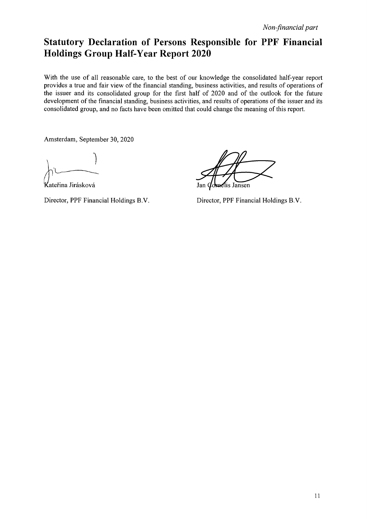## Statutory Declaration of Persons Responsible for PPF Financial Holdings Group Half-Year Report 2020

With the use of all reasonable care, to the best of our knowledge the consolidated half-year report provides a true and fair view of the financial standing, business activities, and results of operations of the issuer and its consolidated group for the first half of 2020 and of the outlook for the future development of the financial standing, business activities, and results of operations of the issuer and its consolidated group, and no facts have been omitted that could change the meaning of this report.

Amsterdam, September 30, 2020

Kateřina Jirásková

Director, PPF Financial Holdings B.V.

lis Jansen

Director, PPF Financial Holdings B.V.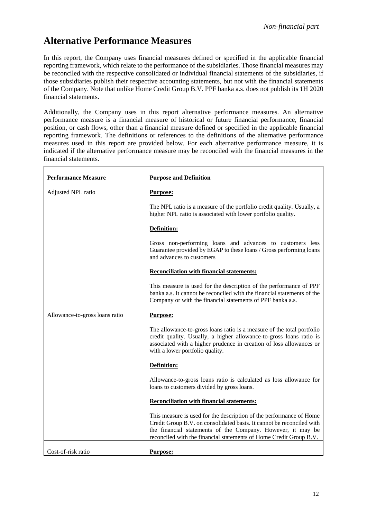## **Alternative Performance Measures**

 $\mathbf{r}$ 

In this report, the Company uses financial measures defined or specified in the applicable financial reporting framework, which relate to the performance of the subsidiaries. Those financial measures may be reconciled with the respective consolidated or individual financial statements of the subsidiaries, if those subsidiaries publish their respective accounting statements, but not with the financial statements of the Company. Note that unlike Home Credit Group B.V. PPF banka a.s. does not publish its 1H 2020 financial statements.

Additionally, the Company uses in this report alternative performance measures. An alternative performance measure is a financial measure of historical or future financial performance, financial position, or cash flows, other than a financial measure defined or specified in the applicable financial reporting framework. The definitions or references to the definitions of the alternative performance measures used in this report are provided below. For each alternative performance measure, it is indicated if the alternative performance measure may be reconciled with the financial measures in the financial statements.

| <b>Performance Measure</b>     | <b>Purpose and Definition</b>                                                                                                                                                                                                                                                     |
|--------------------------------|-----------------------------------------------------------------------------------------------------------------------------------------------------------------------------------------------------------------------------------------------------------------------------------|
| Adjusted NPL ratio             | Purpose:                                                                                                                                                                                                                                                                          |
|                                | The NPL ratio is a measure of the portfolio credit quality. Usually, a<br>higher NPL ratio is associated with lower portfolio quality.                                                                                                                                            |
|                                | Definition:                                                                                                                                                                                                                                                                       |
|                                | Gross non-performing loans and advances to customers less<br>Guarantee provided by EGAP to these loans / Gross performing loans<br>and advances to customers                                                                                                                      |
|                                | <b>Reconciliation with financial statements:</b>                                                                                                                                                                                                                                  |
|                                | This measure is used for the description of the performance of PPF<br>banka a.s. It cannot be reconciled with the financial statements of the<br>Company or with the financial statements of PPF banka a.s.                                                                       |
| Allowance-to-gross loans ratio | <b>Purpose:</b>                                                                                                                                                                                                                                                                   |
|                                | The allowance-to-gross loans ratio is a measure of the total portfolio<br>credit quality. Usually, a higher allowance-to-gross loans ratio is<br>associated with a higher prudence in creation of loss allowances or<br>with a lower portfolio quality.                           |
|                                | Definition:                                                                                                                                                                                                                                                                       |
|                                | Allowance-to-gross loans ratio is calculated as loss allowance for<br>loans to customers divided by gross loans.                                                                                                                                                                  |
|                                | <b>Reconciliation with financial statements:</b>                                                                                                                                                                                                                                  |
|                                | This measure is used for the description of the performance of Home<br>Credit Group B.V. on consolidated basis. It cannot be reconciled with<br>the financial statements of the Company. However, it may be<br>reconciled with the financial statements of Home Credit Group B.V. |
| Cost-of-risk ratio             | Purpose:                                                                                                                                                                                                                                                                          |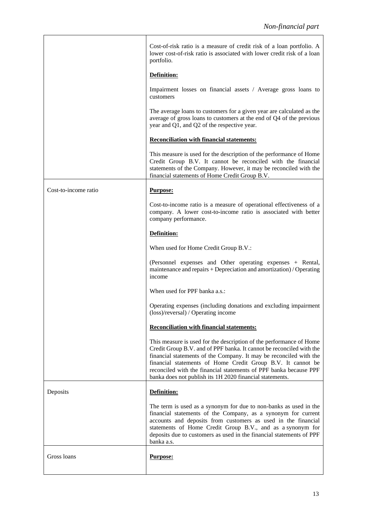|                      | Cost-of-risk ratio is a measure of credit risk of a loan portfolio. A<br>lower cost-of-risk ratio is associated with lower credit risk of a loan<br>portfolio.<br>Definition:                                                                                                                                                                                                                                     |  |  |  |  |  |
|----------------------|-------------------------------------------------------------------------------------------------------------------------------------------------------------------------------------------------------------------------------------------------------------------------------------------------------------------------------------------------------------------------------------------------------------------|--|--|--|--|--|
|                      | Impairment losses on financial assets / Average gross loans to<br>customers                                                                                                                                                                                                                                                                                                                                       |  |  |  |  |  |
|                      | The average loans to customers for a given year are calculated as the<br>average of gross loans to customers at the end of Q4 of the previous<br>year and Q1, and Q2 of the respective year.                                                                                                                                                                                                                      |  |  |  |  |  |
|                      | <b>Reconciliation with financial statements:</b>                                                                                                                                                                                                                                                                                                                                                                  |  |  |  |  |  |
|                      | This measure is used for the description of the performance of Home<br>Credit Group B.V. It cannot be reconciled with the financial<br>statements of the Company. However, it may be reconciled with the<br>financial statements of Home Credit Group B.V.                                                                                                                                                        |  |  |  |  |  |
| Cost-to-income ratio | <b>Purpose:</b>                                                                                                                                                                                                                                                                                                                                                                                                   |  |  |  |  |  |
|                      | Cost-to-income ratio is a measure of operational effectiveness of a<br>company. A lower cost-to-income ratio is associated with better<br>company performance.                                                                                                                                                                                                                                                    |  |  |  |  |  |
|                      | Definition:                                                                                                                                                                                                                                                                                                                                                                                                       |  |  |  |  |  |
|                      | When used for Home Credit Group B.V.:                                                                                                                                                                                                                                                                                                                                                                             |  |  |  |  |  |
|                      | (Personnel expenses and Other operating expenses + Rental,<br>maintenance and repairs + Depreciation and amortization) / Operating<br>income                                                                                                                                                                                                                                                                      |  |  |  |  |  |
|                      | When used for PPF banka a.s.:                                                                                                                                                                                                                                                                                                                                                                                     |  |  |  |  |  |
|                      | Operating expenses (including donations and excluding impairment<br>(loss)/reversal) / Operating income                                                                                                                                                                                                                                                                                                           |  |  |  |  |  |
|                      | <b>Reconciliation with financial statements:</b>                                                                                                                                                                                                                                                                                                                                                                  |  |  |  |  |  |
|                      | This measure is used for the description of the performance of Home<br>Credit Group B.V. and of PPF banka. It cannot be reconciled with the<br>financial statements of the Company. It may be reconciled with the<br>financial statements of Home Credit Group B.V. It cannot be<br>reconciled with the financial statements of PPF banka because PPF<br>banka does not publish its 1H 2020 financial statements. |  |  |  |  |  |
| Deposits             | Definition:                                                                                                                                                                                                                                                                                                                                                                                                       |  |  |  |  |  |
|                      | The term is used as a synonym for due to non-banks as used in the<br>financial statements of the Company, as a synonym for current<br>accounts and deposits from customers as used in the financial<br>statements of Home Credit Group B.V., and as a synonym for<br>deposits due to customers as used in the financial statements of PPF<br>banka a.s.                                                           |  |  |  |  |  |
| Gross loans          | <b>Purpose:</b>                                                                                                                                                                                                                                                                                                                                                                                                   |  |  |  |  |  |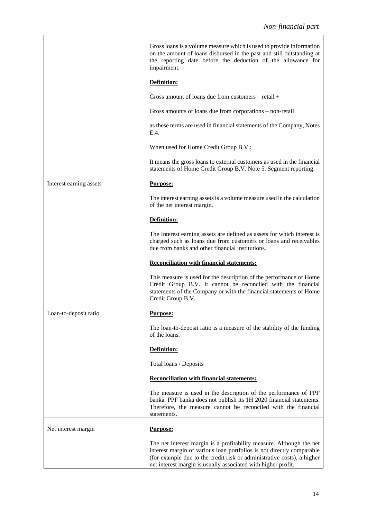|                         | Gross loans is a volume measure which is used to provide information<br>on the amount of loans disbursed in the past and still outstanding at<br>the reporting date before the deduction of the allowance for<br>impairment.                                                             |  |  |  |  |
|-------------------------|------------------------------------------------------------------------------------------------------------------------------------------------------------------------------------------------------------------------------------------------------------------------------------------|--|--|--|--|
|                         | Definition:                                                                                                                                                                                                                                                                              |  |  |  |  |
|                         | Gross amount of loans due from customers – retail $+$                                                                                                                                                                                                                                    |  |  |  |  |
|                         | Gross amounts of loans due from corporations – non-retail                                                                                                                                                                                                                                |  |  |  |  |
|                         | as these terms are used in financial statements of the Company, Notes<br>E.4.                                                                                                                                                                                                            |  |  |  |  |
|                         | When used for Home Credit Group B.V.:                                                                                                                                                                                                                                                    |  |  |  |  |
|                         | It means the gross loans to external customers as used in the financial<br>statements of Home Credit Group B.V. Note 5. Segment reporting.                                                                                                                                               |  |  |  |  |
| Interest earning assets | <b>Purpose:</b>                                                                                                                                                                                                                                                                          |  |  |  |  |
|                         | The interest earning assets is a volume measure used in the calculation<br>of the net interest margin.                                                                                                                                                                                   |  |  |  |  |
|                         | Definition:                                                                                                                                                                                                                                                                              |  |  |  |  |
|                         | The Interest earning assets are defined as assets for which interest is<br>charged such as loans due from customers or loans and receivables<br>due from banks and other financial institutions.                                                                                         |  |  |  |  |
|                         | <b>Reconciliation with financial statements:</b>                                                                                                                                                                                                                                         |  |  |  |  |
|                         | This measure is used for the description of the performance of Home<br>Credit Group B.V. It cannot be reconciled with the financial<br>statements of the Company or with the financial statements of Home<br>Credit Group B.V.                                                           |  |  |  |  |
| Loan-to-deposit ratio   | Purpose:                                                                                                                                                                                                                                                                                 |  |  |  |  |
|                         | The loan-to-deposit ratio is a measure of the stability of the funding<br>of the loans.                                                                                                                                                                                                  |  |  |  |  |
|                         | Definition:                                                                                                                                                                                                                                                                              |  |  |  |  |
|                         | Total loans / Deposits                                                                                                                                                                                                                                                                   |  |  |  |  |
|                         | <b>Reconciliation with financial statements:</b>                                                                                                                                                                                                                                         |  |  |  |  |
|                         | The measure is used in the description of the performance of PPF<br>banka. PPF banka does not publish its 1H 2020 financial statements.<br>Therefore, the measure cannot be reconciled with the financial<br>statements.                                                                 |  |  |  |  |
| Net interest margin     | <b>Purpose:</b>                                                                                                                                                                                                                                                                          |  |  |  |  |
|                         | The net interest margin is a profitability measure. Although the net<br>interest margin of various loan portfolios is not directly comparable<br>(for example due to the credit risk or administrative costs), a higher<br>net interest margin is usually associated with higher profit. |  |  |  |  |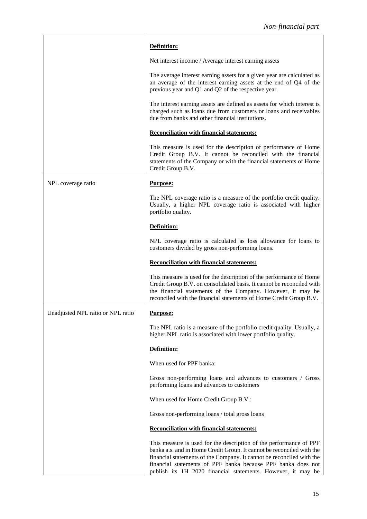|                                   | Definition:                                                                                                                                                                                                                                                                       |
|-----------------------------------|-----------------------------------------------------------------------------------------------------------------------------------------------------------------------------------------------------------------------------------------------------------------------------------|
|                                   | Net interest income / Average interest earning assets                                                                                                                                                                                                                             |
|                                   | The average interest earning assets for a given year are calculated as<br>an average of the interest earning assets at the end of Q4 of the<br>previous year and Q1 and Q2 of the respective year.                                                                                |
|                                   | The interest earning assets are defined as assets for which interest is<br>charged such as loans due from customers or loans and receivables<br>due from banks and other financial institutions.                                                                                  |
|                                   | <b>Reconciliation with financial statements:</b>                                                                                                                                                                                                                                  |
|                                   | This measure is used for the description of performance of Home<br>Credit Group B.V. It cannot be reconciled with the financial<br>statements of the Company or with the financial statements of Home<br>Credit Group B.V.                                                        |
| NPL coverage ratio                | <b>Purpose:</b>                                                                                                                                                                                                                                                                   |
|                                   | The NPL coverage ratio is a measure of the portfolio credit quality.<br>Usually, a higher NPL coverage ratio is associated with higher<br>portfolio quality.                                                                                                                      |
|                                   | Definition:                                                                                                                                                                                                                                                                       |
|                                   | NPL coverage ratio is calculated as loss allowance for loans to<br>customers divided by gross non-performing loans.                                                                                                                                                               |
|                                   |                                                                                                                                                                                                                                                                                   |
|                                   | <b>Reconciliation with financial statements:</b>                                                                                                                                                                                                                                  |
|                                   | This measure is used for the description of the performance of Home<br>Credit Group B.V. on consolidated basis. It cannot be reconciled with<br>the financial statements of the Company. However, it may be<br>reconciled with the financial statements of Home Credit Group B.V. |
| Unadjusted NPL ratio or NPL ratio | <b>Purpose:</b>                                                                                                                                                                                                                                                                   |
|                                   | The NPL ratio is a measure of the portfolio credit quality. Usually, a<br>higher NPL ratio is associated with lower portfolio quality.                                                                                                                                            |
|                                   | Definition:                                                                                                                                                                                                                                                                       |
|                                   | When used for PPF banka:                                                                                                                                                                                                                                                          |
|                                   | Gross non-performing loans and advances to customers / Gross<br>performing loans and advances to customers                                                                                                                                                                        |
|                                   | When used for Home Credit Group B.V.:                                                                                                                                                                                                                                             |
|                                   | Gross non-performing loans / total gross loans                                                                                                                                                                                                                                    |
|                                   | <b>Reconciliation with financial statements:</b>                                                                                                                                                                                                                                  |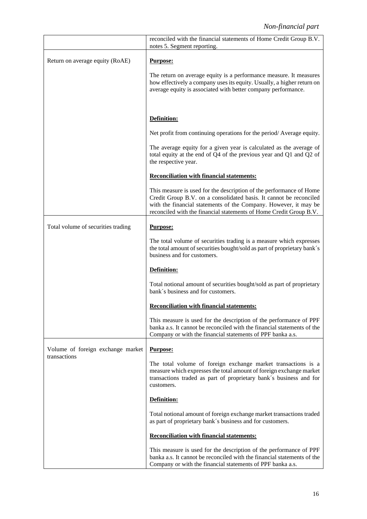|                                                   | reconciled with the financial statements of Home Credit Group B.V.<br>notes 5. Segment reporting.                                                                                                                                                                                   |  |  |  |  |
|---------------------------------------------------|-------------------------------------------------------------------------------------------------------------------------------------------------------------------------------------------------------------------------------------------------------------------------------------|--|--|--|--|
| Return on average equity (RoAE)                   | Purpose:                                                                                                                                                                                                                                                                            |  |  |  |  |
|                                                   | The return on average equity is a performance measure. It measures<br>how effectively a company uses its equity. Usually, a higher return on<br>average equity is associated with better company performance.                                                                       |  |  |  |  |
|                                                   | Definition:                                                                                                                                                                                                                                                                         |  |  |  |  |
|                                                   | Net profit from continuing operations for the period/Average equity.                                                                                                                                                                                                                |  |  |  |  |
|                                                   | The average equity for a given year is calculated as the average of<br>total equity at the end of Q4 of the previous year and Q1 and Q2 of<br>the respective year.                                                                                                                  |  |  |  |  |
|                                                   | <b>Reconciliation with financial statements:</b>                                                                                                                                                                                                                                    |  |  |  |  |
|                                                   | This measure is used for the description of the performance of Home<br>Credit Group B.V. on a consolidated basis. It cannot be reconciled<br>with the financial statements of the Company. However, it may be<br>reconciled with the financial statements of Home Credit Group B.V. |  |  |  |  |
| Total volume of securities trading                | Purpose:                                                                                                                                                                                                                                                                            |  |  |  |  |
|                                                   | The total volume of securities trading is a measure which expresses<br>the total amount of securities bought/sold as part of proprietary bank's<br>business and for customers.                                                                                                      |  |  |  |  |
|                                                   | Definition:                                                                                                                                                                                                                                                                         |  |  |  |  |
|                                                   | Total notional amount of securities bought/sold as part of proprietary<br>bank's business and for customers.                                                                                                                                                                        |  |  |  |  |
|                                                   | <b>Reconciliation with financial statements:</b>                                                                                                                                                                                                                                    |  |  |  |  |
|                                                   | This measure is used for the description of the performance of PPF<br>banka a.s. It cannot be reconciled with the financial statements of the<br>Company or with the financial statements of PPF banka a.s.                                                                         |  |  |  |  |
| Volume of foreign exchange market<br>transactions | Purpose:                                                                                                                                                                                                                                                                            |  |  |  |  |
|                                                   | The total volume of foreign exchange market transactions is a<br>measure which expresses the total amount of foreign exchange market<br>transactions traded as part of proprietary bank's business and for<br>customers.                                                            |  |  |  |  |
|                                                   | Definition:                                                                                                                                                                                                                                                                         |  |  |  |  |
|                                                   | Total notional amount of foreign exchange market transactions traded<br>as part of proprietary bank's business and for customers.                                                                                                                                                   |  |  |  |  |
|                                                   | <b>Reconciliation with financial statements:</b>                                                                                                                                                                                                                                    |  |  |  |  |
|                                                   | This measure is used for the description of the performance of PPF<br>banka a.s. It cannot be reconciled with the financial statements of the<br>Company or with the financial statements of PPF banka a.s.                                                                         |  |  |  |  |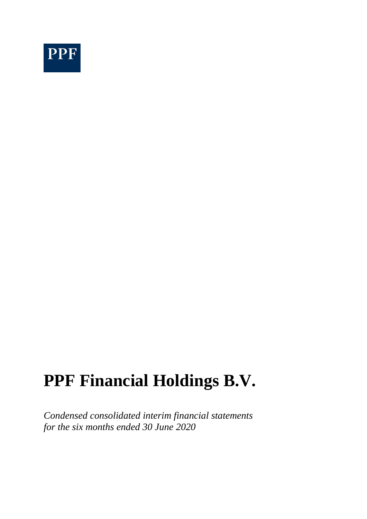

*Condensed consolidated interim financial statements for the six months ended 30 June 2020*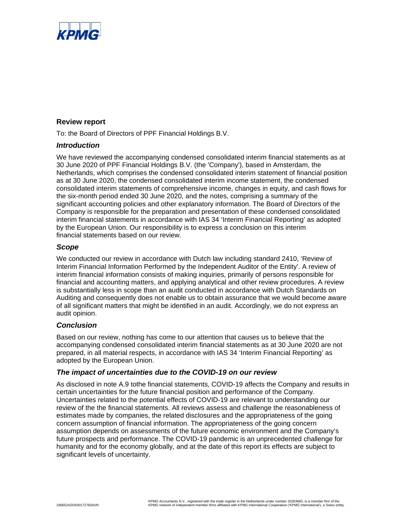

#### **Review report**

To: the Board of Directors of PPF Financial Holdings B.V.

#### *Introduction*

We have reviewed the accompanying condensed consolidated interim financial statements as at 30 June 2020 of PPF Financial Holdings B.V. (the 'Company'), based in Amsterdam, the Netherlands, which comprises the condensed consolidated interim statement of financial position as at 30 June 2020, the condensed consolidated interim income statement, the condensed consolidated interim statements of comprehensive income, changes in equity, and cash flows for the six-month period ended 30 June 2020, and the notes, comprising a summary of the significant accounting policies and other explanatory information. The Board of Directors of the Company is responsible for the preparation and presentation of these condensed consolidated interim financial statements in accordance with IAS 34 'Interim Financial Reporting' as adopted by the European Union. Our responsibility is to express a conclusion on this interim financial statements based on our review.

#### *Scope*

We conducted our review in accordance with Dutch law including standard 2410, 'Review of Interim Financial Information Performed by the Independent Auditor of the Entity'. A review of interim financial information consists of making inquiries, primarily of persons responsible for financial and accounting matters, and applying analytical and other review procedures. A review is substantially less in scope than an audit conducted in accordance with Dutch Standards on Auditing and consequently does not enable us to obtain assurance that we would become aware of all significant matters that might be identified in an audit. Accordingly, we do not express an audit opinion.

#### *Conclusion*

Based on our review, nothing has come to our attention that causes us to believe that the accompanying condensed consolidated interim financial statements as at 30 June 2020 are not prepared, in all material respects, in accordance with IAS 34 'Interim Financial Reporting' as adopted by the European Union.

#### *The impact of uncertainties due to the COVID-19 on our review*

As disclosed in note A.9 tothe financial statements, COVID-19 affects the Company and results in certain uncertainties for the future financial position and performance of the Company. Uncertainties related to the potential effects of COVID-19 are relevant to understanding our review of the the financial statements. All reviews assess and challenge the reasonableness of estimates made by companies, the related disclosures and the appropriateness of the going concern assumption of financial information. The appropriateness of the going concern assumption depends on assessments of the future economic environment and the Company's future prospects and performance. The COVID-19 pandemic is an unprecedented challenge for humanity and for the economy globally, and at the date of this report its effects are subject to significant levels of uncertainty.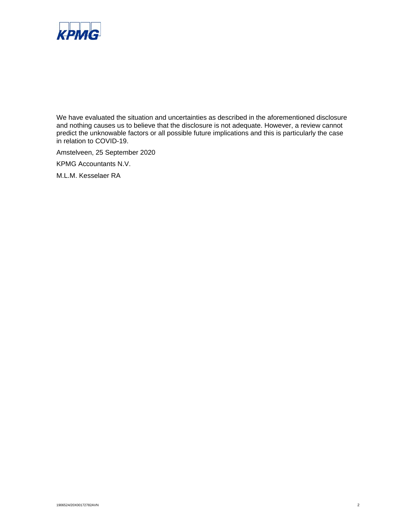

We have evaluated the situation and uncertainties as described in the aforementioned disclosure and nothing causes us to believe that the disclosure is not adequate. However, a review cannot predict the unknowable factors or all possible future implications and this is particularly the case in relation to COVID-19.

Amstelveen, 25 September 2020

KPMG Accountants N.V.

M.L.M. Kesselaer RA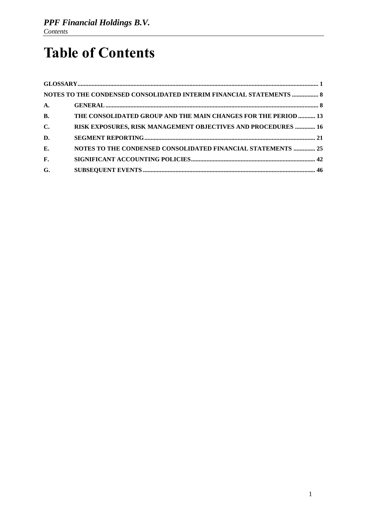# **Table of Contents**

|                | NOTES TO THE CONDENSED CONSOLIDATED INTERIM FINANCIAL STATEMENTS  8 |  |
|----------------|---------------------------------------------------------------------|--|
| $\mathbf{A}$ . |                                                                     |  |
| <b>B.</b>      | THE CONSOLIDATED GROUP AND THE MAIN CHANGES FOR THE PERIOD  13      |  |
| $\mathbf{C}$ . | RISK EXPOSURES, RISK MANAGEMENT OBJECTIVES AND PROCEDURES  16       |  |
| D.             |                                                                     |  |
| E.             | NOTES TO THE CONDENSED CONSOLIDATED FINANCIAL STATEMENTS  25        |  |
| $\mathbf{F}$ . |                                                                     |  |
| G.             |                                                                     |  |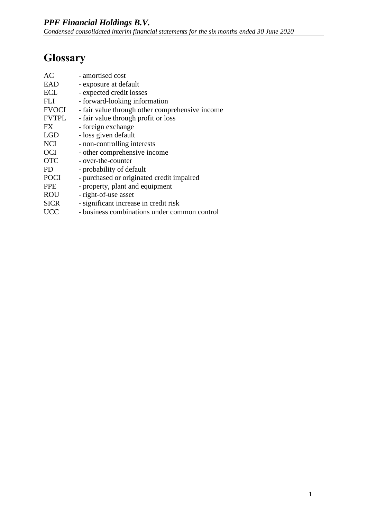## <span id="page-21-0"></span>**Glossary**

| AC           | - amortised cost                                |
|--------------|-------------------------------------------------|
| EAD          | - exposure at default                           |
| <b>ECL</b>   | - expected credit losses                        |
| FL J         | - forward-looking information                   |
| <b>FVOCI</b> | - fair value through other comprehensive income |
| <b>FVTPL</b> | - fair value through profit or loss             |
| FX.          | - foreign exchange                              |
| <b>LGD</b>   | - loss given default                            |
| <b>NCI</b>   | - non-controlling interests                     |
| <b>OCI</b>   | - other comprehensive income                    |
| <b>OTC</b>   | - over-the-counter                              |
| <b>PD</b>    | - probability of default                        |
| <b>POCI</b>  | - purchased or originated credit impaired       |
| <b>PPE</b>   | - property, plant and equipment                 |
| <b>ROU</b>   | - right-of-use asset                            |
| <b>SICR</b>  | - significant increase in credit risk           |
| <b>UCC</b>   | - business combinations under common control    |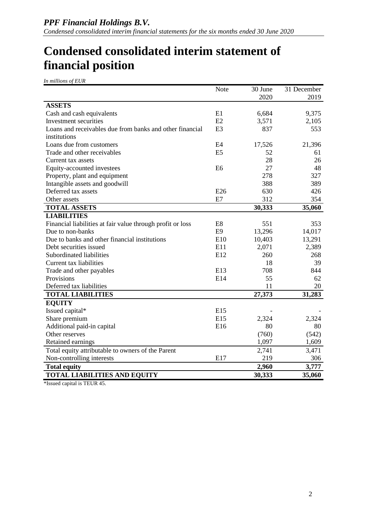## **Condensed consolidated interim statement of financial position**

*In millions of EUR*

|                                                            | Note           | 30 June | 31 December |
|------------------------------------------------------------|----------------|---------|-------------|
|                                                            |                | 2020    | 2019        |
| <b>ASSETS</b>                                              |                |         |             |
| Cash and cash equivalents                                  | E1             | 6,684   | 9,375       |
| Investment securities                                      | E2             | 3,571   | 2,105       |
| Loans and receivables due from banks and other financial   | E <sub>3</sub> | 837     | 553         |
| institutions                                               |                |         |             |
| Loans due from customers                                   | E <sub>4</sub> | 17,526  | 21,396      |
| Trade and other receivables                                | E <sub>5</sub> | 52      | 61          |
| Current tax assets                                         |                | 28      | 26          |
| Equity-accounted investees                                 | E <sub>6</sub> | 27      | 48          |
| Property, plant and equipment                              |                | 278     | 327         |
| Intangible assets and goodwill                             |                | 388     | 389         |
| Deferred tax assets                                        | E26            | 630     | 426         |
| Other assets                                               | E7             | 312     | 354         |
| <b>TOTAL ASSETS</b>                                        |                | 30,333  | 35,060      |
| <b>LIABILITIES</b>                                         |                |         |             |
| Financial liabilities at fair value through profit or loss | E <sub>8</sub> | 551     | 353         |
| Due to non-banks                                           | E <sub>9</sub> | 13,296  | 14,017      |
| Due to banks and other financial institutions              | E10            | 10,403  | 13,291      |
| Debt securities issued                                     | E11            | 2,071   | 2,389       |
| Subordinated liabilities                                   | E12            | 260     | 268         |
| Current tax liabilities                                    |                | 18      | 39          |
| Trade and other payables                                   | E13            | 708     | 844         |
| Provisions                                                 | E14            | 55      | 62          |
| Deferred tax liabilities                                   |                | 11      | 20          |
| <b>TOTAL LIABILITIES</b>                                   |                | 27,373  | 31,283      |
| <b>EQUITY</b>                                              |                |         |             |
| Issued capital*                                            | E15            |         |             |
| Share premium                                              | E15            | 2,324   | 2,324       |
| Additional paid-in capital                                 | E16            | 80      | 80          |
| Other reserves                                             |                | (760)   | (542)       |
| Retained earnings                                          |                | 1,097   | 1,609       |
| Total equity attributable to owners of the Parent          |                | 2,741   | 3,471       |
| Non-controlling interests                                  | E17            | 219     | 306         |
| <b>Total equity</b>                                        |                | 2,960   | 3,777       |
| <b>TOTAL LIABILITIES AND EQUITY</b>                        |                | 30,333  | 35,060      |
| $\cdots$ $\cdots$ morro $\prime$                           |                |         |             |

\*Issued capital is TEUR 45.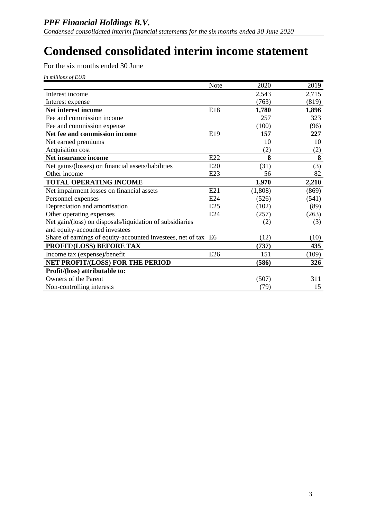## **Condensed consolidated interim income statement**

For the six months ended 30 June

| In millions of EUR |  |
|--------------------|--|
|                    |  |

|                                                                | Note | 2020    | 2019  |
|----------------------------------------------------------------|------|---------|-------|
| Interest income                                                |      | 2,543   | 2,715 |
| Interest expense                                               |      | (763)   | (819) |
| Net interest income                                            | E18  | 1,780   | 1,896 |
| Fee and commission income                                      |      | 257     | 323   |
| Fee and commission expense                                     |      | (100)   | (96)  |
| Net fee and commission income                                  | E19  | 157     | 227   |
| Net earned premiums                                            |      | 10      | 10    |
| Acquisition cost                                               |      | (2)     | (2)   |
| Net insurance income                                           | E22  | 8       | 8     |
| Net gains/(losses) on financial assets/liabilities             | E20  | (31)    | (3)   |
| Other income                                                   | E23  | 56      | 82    |
| <b>TOTAL OPERATING INCOME</b>                                  |      | 1,970   | 2,210 |
| Net impairment losses on financial assets                      | E21  | (1,808) | (869) |
| Personnel expenses                                             | E24  | (526)   | (541) |
| Depreciation and amortisation                                  | E25  | (102)   | (89)  |
| Other operating expenses                                       | E24  | (257)   | (263) |
| Net gain/(loss) on disposals/liquidation of subsidiaries       |      | (2)     | (3)   |
| and equity-accounted investees                                 |      |         |       |
| Share of earnings of equity-accounted investees, net of tax E6 |      | (12)    | (10)  |
| PROFIT/(LOSS) BEFORE TAX                                       |      | (737)   | 435   |
| Income tax (expense)/benefit                                   | E26  | 151     | (109) |
| NET PROFIT/(LOSS) FOR THE PERIOD                               |      | (586)   | 326   |
| Profit/(loss) attributable to:                                 |      |         |       |
| Owners of the Parent                                           |      | (507)   | 311   |
| Non-controlling interests                                      |      | (79)    | 15    |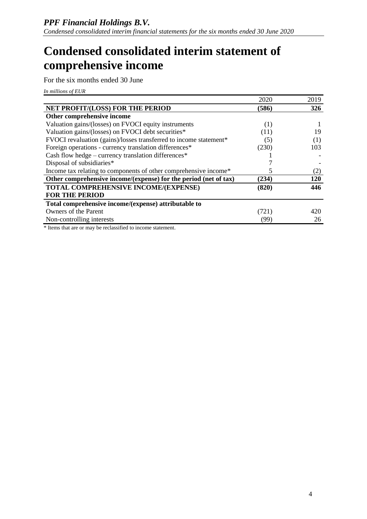## **Condensed consolidated interim statement of comprehensive income**

For the six months ended 30 June

*In millions of EUR*

|                                                                   | 2020  | 2019       |
|-------------------------------------------------------------------|-------|------------|
| NET PROFIT/(LOSS) FOR THE PERIOD                                  | (586) | 326        |
| Other comprehensive income                                        |       |            |
| Valuation gains/(losses) on FVOCI equity instruments              | (1)   |            |
| Valuation gains/(losses) on FVOCI debt securities*                | (11)  | 19         |
| FVOCI revaluation (gains)/losses transferred to income statement* | (5)   | (1)        |
| Foreign operations - currency translation differences*            | (230) | 103        |
| Cash flow hedge – currency translation differences*               |       |            |
| Disposal of subsidiaries*                                         |       |            |
| Income tax relating to components of other comprehensive income*  |       | (2)        |
| Other comprehensive income/(expense) for the period (net of tax)  | (234) | <b>120</b> |
| TOTAL COMPREHENSIVE INCOME/(EXPENSE)                              | (820) | 446        |
| <b>FOR THE PERIOD</b>                                             |       |            |
| Total comprehensive income/(expense) attributable to              |       |            |
| Owners of the Parent                                              | (721) | 420        |
| Non-controlling interests                                         | (99)  | 26         |

\* Items that are or may be reclassified to income statement.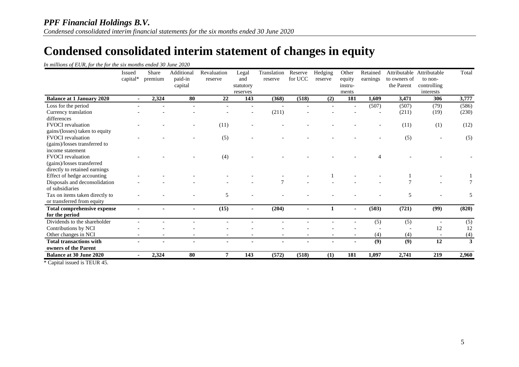## **Condensed consolidated interim statement of changes in equity**

|  |  |  | In millions of EUR, for the for the six months ended 30 June 2020 |  |
|--|--|--|-------------------------------------------------------------------|--|
|  |  |  |                                                                   |  |

|                                    | Issued<br>capital* | Share<br>premium | Additional<br>paid-in<br>capital | Revaluation<br>reserve | Legal<br>and<br>statutory<br>reserves | Translation<br>reserve | Reserve<br>for UCC | Hedging<br>reserve | Other<br>equity<br>instru-<br>ments | Retained<br>earnings | to owners of<br>the Parent | Attributable Attributable<br>to non-<br>controlling<br>interests | Total |
|------------------------------------|--------------------|------------------|----------------------------------|------------------------|---------------------------------------|------------------------|--------------------|--------------------|-------------------------------------|----------------------|----------------------------|------------------------------------------------------------------|-------|
| <b>Balance at 1 January 2020</b>   | $\sim$             | 2,324            | 80                               | 22                     | 143                                   | (368)                  | (518)              | (2)                | 181                                 | 1,609                | 3,471                      | 306                                                              | 3,777 |
| Loss for the period                |                    |                  |                                  |                        |                                       |                        |                    |                    |                                     | (507)                | (507)                      | (79)                                                             | (586) |
| Currency translation               |                    |                  |                                  |                        |                                       | (211)                  |                    |                    |                                     |                      | (211)                      | (19)                                                             | (230) |
| differences                        |                    |                  |                                  |                        |                                       |                        |                    |                    |                                     |                      |                            |                                                                  |       |
| <b>FVOCI</b> revaluation           |                    |                  |                                  | (11)                   |                                       |                        |                    |                    |                                     |                      | (11)                       | (1)                                                              | (12)  |
| gains/(losses) taken to equity     |                    |                  |                                  |                        |                                       |                        |                    |                    |                                     |                      |                            |                                                                  |       |
| <b>FVOCI</b> revaluation           |                    |                  |                                  | (5)                    |                                       |                        |                    |                    |                                     |                      | (5)                        |                                                                  | (5)   |
| (gains)/losses transferred to      |                    |                  |                                  |                        |                                       |                        |                    |                    |                                     |                      |                            |                                                                  |       |
| income statement                   |                    |                  |                                  |                        |                                       |                        |                    |                    |                                     |                      |                            |                                                                  |       |
| <b>FVOCI</b> revaluation           |                    |                  |                                  | (4)                    |                                       |                        |                    |                    |                                     |                      |                            |                                                                  |       |
| (gains)/losses transferred         |                    |                  |                                  |                        |                                       |                        |                    |                    |                                     |                      |                            |                                                                  |       |
| directly to retained earnings      |                    |                  |                                  |                        |                                       |                        |                    |                    |                                     |                      |                            |                                                                  |       |
| Effect of hedge accounting         |                    |                  |                                  |                        |                                       |                        |                    |                    |                                     |                      |                            |                                                                  |       |
| Disposals and deconsolidation      |                    |                  |                                  |                        |                                       |                        |                    |                    |                                     |                      |                            |                                                                  |       |
| of subsidiaries                    |                    |                  |                                  |                        |                                       |                        |                    |                    |                                     |                      |                            |                                                                  |       |
| Tax on items taken directly to     |                    |                  |                                  | 5                      |                                       |                        |                    |                    |                                     |                      | 5                          |                                                                  | 5     |
| or transferred from equity         |                    |                  |                                  |                        |                                       |                        |                    |                    |                                     |                      |                            |                                                                  |       |
| <b>Total comprehensive expense</b> |                    |                  |                                  | (15)                   | ۰                                     | (204)                  |                    |                    | ٠                                   | (503)                | (721)                      | (99)                                                             | (820) |
| for the period                     |                    |                  |                                  |                        |                                       |                        |                    |                    |                                     |                      |                            |                                                                  |       |
| Dividends to the shareholder       |                    |                  |                                  |                        |                                       |                        |                    |                    |                                     | (5)                  | (5)                        |                                                                  | (5)   |
| Contributions by NCI               |                    |                  |                                  |                        |                                       |                        |                    |                    |                                     |                      |                            | 12                                                               | 12    |
| Other changes in NCI               |                    |                  |                                  |                        |                                       |                        |                    |                    |                                     | (4)                  | (4)                        |                                                                  | (4)   |
| <b>Total transactions with</b>     |                    |                  |                                  |                        |                                       |                        |                    |                    |                                     | (9)                  | (9)                        | 12                                                               | 3     |
| owners of the Parent               |                    |                  |                                  |                        |                                       |                        |                    |                    |                                     |                      |                            |                                                                  |       |
| <b>Balance at 30 June 2020</b>     |                    | 2.324            | 80                               | $\overline{7}$         | 143                                   | (572)                  | (518)              | (1)                | 181                                 | 1,097                | 2,741                      | 219                                                              | 2.960 |

\* Capital issued is TEUR 45.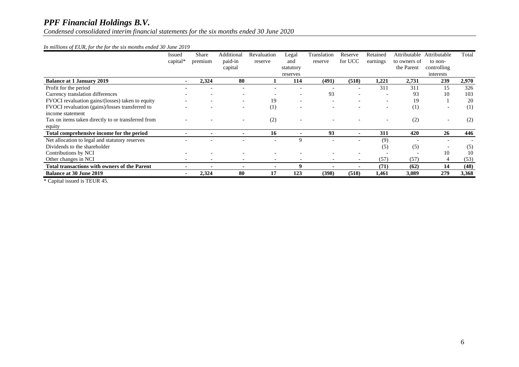*Condensed consolidated interim financial statements for the six months ended 30 June 2020*

#### *In millions of EUR, for the for the six months ended 30 June 2019*

|                                                     | Issued<br>capital $*$ | Share<br>premium | Additional<br>paid-in<br>capital | Revaluation<br>reserve   | Legal<br>and<br>statutory<br>reserves | Translation<br>reserve | Reserve<br>for UCC       | Retained<br>earnings     | Attributable<br>to owners of<br>the Parent | Attributable<br>to non-<br>controlling<br>interests | Total |
|-----------------------------------------------------|-----------------------|------------------|----------------------------------|--------------------------|---------------------------------------|------------------------|--------------------------|--------------------------|--------------------------------------------|-----------------------------------------------------|-------|
| <b>Balance at 1 January 2019</b>                    |                       | 2,324            | 80                               |                          | 114                                   | (491)                  | (518)                    | 1,221                    | 2,731                                      | 239                                                 | 2,970 |
| Profit for the period                               |                       |                  |                                  |                          |                                       |                        | $\overline{\phantom{0}}$ | 311                      | 311                                        | 15                                                  | 326   |
| Currency translation differences                    |                       |                  |                                  |                          |                                       | 93                     |                          |                          | 93                                         | 10                                                  | 103   |
| FVOCI revaluation gains/(losses) taken to equity    |                       |                  |                                  | 19                       |                                       |                        |                          | $\overline{\phantom{a}}$ | 19                                         |                                                     | 20    |
| FVOCI revaluation (gains)/losses transferred to     |                       |                  |                                  | $\left(1\right)$         | $\overline{\phantom{a}}$              |                        |                          | $\overline{\phantom{a}}$ | (1)                                        | $\overline{\phantom{a}}$                            | (1)   |
| income statement                                    |                       |                  |                                  |                          |                                       |                        |                          |                          |                                            |                                                     |       |
| Tax on items taken directly to or transferred from  |                       |                  |                                  | (2)                      |                                       |                        |                          | $\overline{\phantom{0}}$ | (2)                                        |                                                     | (2)   |
| equity                                              |                       |                  |                                  |                          |                                       |                        |                          |                          |                                            |                                                     |       |
| Total comprehensive income for the period           |                       |                  |                                  | 16                       |                                       | 93                     |                          | 311                      | 420                                        | 26                                                  | 446   |
| Net allocation to legal and statutory reserves      |                       |                  |                                  | $\overline{\phantom{0}}$ | 9                                     |                        | $\overline{\phantom{0}}$ | (9)                      |                                            |                                                     |       |
| Dividends to the shareholder                        |                       |                  |                                  |                          |                                       |                        |                          | (5)                      | (5)                                        |                                                     | (5)   |
| Contributions by NCI                                |                       |                  |                                  |                          |                                       |                        |                          |                          |                                            | 10                                                  | 10    |
| Other changes in NCI                                |                       |                  |                                  | $\overline{\phantom{0}}$ |                                       |                        |                          | (57)                     | (57)                                       | 4                                                   | (53)  |
| <b>Total transactions with owners of the Parent</b> |                       |                  |                                  | ٠                        | 9                                     |                        |                          | (71)                     | (62)                                       | 14                                                  | (48)  |
| <b>Balance at 30 June 2019</b>                      |                       | 2,324            | 80                               | 17                       | 123                                   | (398)                  | (518)                    | 1,461                    | 3,089                                      | 279                                                 | 3,368 |

\* Capital issued is TEUR 45.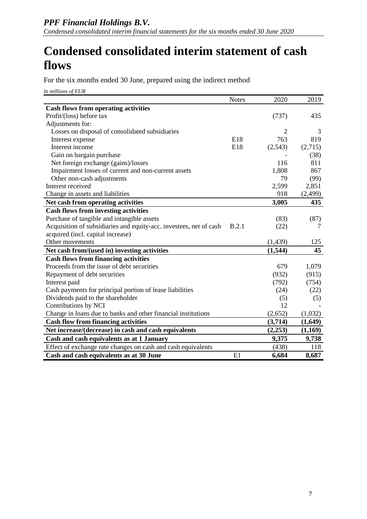## **Condensed consolidated interim statement of cash flows**

For the six months ended 30 June, prepared using the indirect method

*In millions of EUR*

|                                                                    | <b>Notes</b> | 2020           | 2019     |
|--------------------------------------------------------------------|--------------|----------------|----------|
| <b>Cash flows from operating activities</b>                        |              |                |          |
| Profit/(loss) before tax                                           |              | (737)          | 435      |
| Adjustments for:                                                   |              |                |          |
| Losses on disposal of consolidated subsidiaries                    |              | $\overline{2}$ | 3        |
| Interest expense                                                   | E18          | 763            | 819      |
| Interest income                                                    | E18          | (2,543)        | (2,715)  |
| Gain on bargain purchase                                           |              |                | (38)     |
| Net foreign exchange (gains)/losses                                |              | 116            | 811      |
| Impairment losses of current and non-current assets                |              | 1,808          | 867      |
| Other non-cash adjustments                                         |              | 79             | (99)     |
| Interest received                                                  |              | 2,599          | 2,851    |
| Change in assets and liabilities                                   |              | 918            | (2, 499) |
| Net cash from operating activities                                 |              | 3,005          | 435      |
| <b>Cash flows from investing activities</b>                        |              |                |          |
| Purchase of tangible and intangible assets                         |              | (83)           | (87)     |
| Acquisition of subsidiaries and equity-acc. investees, net of cash | B.2.1        | (22)           | 7        |
| acquired (incl. capital increase)                                  |              |                |          |
| Other movements                                                    |              | (1, 439)       | 125      |
| Net cash from/(used in) investing activities                       |              | (1, 544)       | 45       |
| <b>Cash flows from financing activities</b>                        |              |                |          |
| Proceeds from the issue of debt securities                         |              | 679            | 1,079    |
| Repayment of debt securities                                       |              | (932)          | (915)    |
| Interest paid                                                      |              | (792)          | (754)    |
| Cash payments for principal portion of lease liabilities           |              | (24)           | (22)     |
| Dividends paid to the shareholder                                  |              | (5)            | (5)      |
| Contributions by NCI                                               |              | 12             |          |
| Change in loans due to banks and other financial institutions      |              | (2,652)        | (1,032)  |
| <b>Cash flow from financing activities</b>                         |              | (3,714)        | (1,649)  |
| Net increase/(decrease) in cash and cash equivalents               |              | (2,253)        | (1,169)  |
| Cash and cash equivalents as at 1 January                          |              | 9,375          | 9,738    |
| Effect of exchange rate changes on cash and cash equivalents       |              | (438)          | 118      |
| Cash and cash equivalents as at 30 June                            | E1           | 6,684          | 8,687    |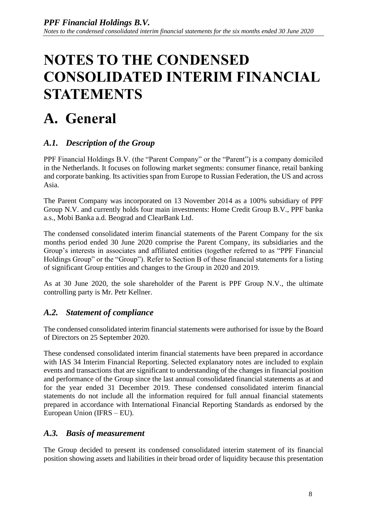# <span id="page-28-0"></span>**NOTES TO THE CONDENSED CONSOLIDATED INTERIM FINANCIAL STATEMENTS**

# <span id="page-28-1"></span>**A. General**

## *A.1. Description of the Group*

PPF Financial Holdings B.V. (the "Parent Company" or the "Parent") is a company domiciled in the Netherlands. It focuses on following market segments: consumer finance, retail banking and corporate banking. Its activities span from Europe to Russian Federation, the US and across Asia.

The Parent Company was incorporated on 13 November 2014 as a 100% subsidiary of PPF Group N.V. and currently holds four main investments: Home Credit Group B.V., PPF banka a.s., Mobi Banka a.d. Beograd and ClearBank Ltd.

The condensed consolidated interim financial statements of the Parent Company for the six months period ended 30 June 2020 comprise the Parent Company, its subsidiaries and the Group's interests in associates and affiliated entities (together referred to as "PPF Financial Holdings Group" or the "Group"). Refer to Section B of these financial statements for a listing of significant Group entities and changes to the Group in 2020 and 2019.

As at 30 June 2020, the sole shareholder of the Parent is PPF Group N.V., the ultimate controlling party is Mr. Petr Kellner.

## *A.2. Statement of compliance*

The condensed consolidated interim financial statements were authorised for issue by the Board of Directors on 25 September 2020.

These condensed consolidated interim financial statements have been prepared in accordance with IAS 34 Interim Financial Reporting. Selected explanatory notes are included to explain events and transactions that are significant to understanding of the changes in financial position and performance of the Group since the last annual consolidated financial statements as at and for the year ended 31 December 2019. These condensed consolidated interim financial statements do not include all the information required for full annual financial statements prepared in accordance with International Financial Reporting Standards as endorsed by the European Union (IFRS – EU).

## *A.3. Basis of measurement*

The Group decided to present its condensed consolidated interim statement of its financial position showing assets and liabilities in their broad order of liquidity because this presentation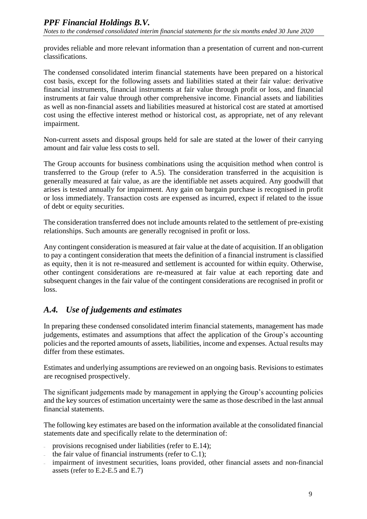provides reliable and more relevant information than a presentation of current and non-current classifications.

The condensed consolidated interim financial statements have been prepared on a historical cost basis, except for the following assets and liabilities stated at their fair value: derivative financial instruments, financial instruments at fair value through profit or loss, and financial instruments at fair value through other comprehensive income. Financial assets and liabilities as well as non-financial assets and liabilities measured at historical cost are stated at amortised cost using the effective interest method or historical cost, as appropriate, net of any relevant impairment.

Non-current assets and disposal groups held for sale are stated at the lower of their carrying amount and fair value less costs to sell.

The Group accounts for business combinations using the acquisition method when control is transferred to the Group (refer to A.5). The consideration transferred in the acquisition is generally measured at fair value, as are the identifiable net assets acquired. Any goodwill that arises is tested annually for impairment. Any gain on bargain purchase is recognised in profit or loss immediately. Transaction costs are expensed as incurred, expect if related to the issue of debt or equity securities.

The consideration transferred does not include amounts related to the settlement of pre-existing relationships. Such amounts are generally recognised in profit or loss.

Any contingent consideration is measured at fair value at the date of acquisition. If an obligation to pay a contingent consideration that meets the definition of a financial instrument is classified as equity, then it is not re-measured and settlement is accounted for within equity. Otherwise, other contingent considerations are re-measured at fair value at each reporting date and subsequent changes in the fair value of the contingent considerations are recognised in profit or loss.

## *A.4. Use of judgements and estimates*

In preparing these condensed consolidated interim financial statements, management has made judgements, estimates and assumptions that affect the application of the Group's accounting policies and the reported amounts of assets, liabilities, income and expenses. Actual results may differ from these estimates.

Estimates and underlying assumptions are reviewed on an ongoing basis. Revisions to estimates are recognised prospectively.

The significant judgements made by management in applying the Group's accounting policies and the key sources of estimation uncertainty were the same as those described in the last annual financial statements.

The following key estimates are based on the information available at the consolidated financial statements date and specifically relate to the determination of:

- provisions recognised under liabilities (refer to E.14);
- the fair value of financial instruments (refer to  $C.1$ );
- impairment of investment securities, loans provided, other financial assets and non-financial assets (refer to E.2-E.5 and E.7)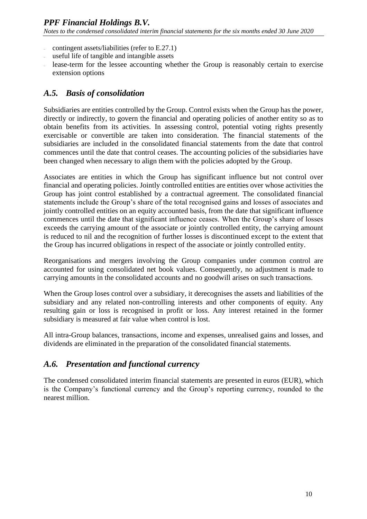- contingent assets/liabilities (refer to E.27.1)
- useful life of tangible and intangible assets
- lease-term for the lessee accounting whether the Group is reasonably certain to exercise extension options

## *A.5. Basis of consolidation*

Subsidiaries are entities controlled by the Group. Control exists when the Group has the power, directly or indirectly, to govern the financial and operating policies of another entity so as to obtain benefits from its activities. In assessing control, potential voting rights presently exercisable or convertible are taken into consideration. The financial statements of the subsidiaries are included in the consolidated financial statements from the date that control commences until the date that control ceases. The accounting policies of the subsidiaries have been changed when necessary to align them with the policies adopted by the Group.

Associates are entities in which the Group has significant influence but not control over financial and operating policies. Jointly controlled entities are entities over whose activities the Group has joint control established by a contractual agreement. The consolidated financial statements include the Group's share of the total recognised gains and losses of associates and jointly controlled entities on an equity accounted basis, from the date that significant influence commences until the date that significant influence ceases. When the Group's share of losses exceeds the carrying amount of the associate or jointly controlled entity, the carrying amount is reduced to nil and the recognition of further losses is discontinued except to the extent that the Group has incurred obligations in respect of the associate or jointly controlled entity.

Reorganisations and mergers involving the Group companies under common control are accounted for using consolidated net book values. Consequently, no adjustment is made to carrying amounts in the consolidated accounts and no goodwill arises on such transactions.

When the Group loses control over a subsidiary, it derecognises the assets and liabilities of the subsidiary and any related non-controlling interests and other components of equity. Any resulting gain or loss is recognised in profit or loss. Any interest retained in the former subsidiary is measured at fair value when control is lost.

All intra-Group balances, transactions, income and expenses, unrealised gains and losses, and dividends are eliminated in the preparation of the consolidated financial statements.

## *A.6. Presentation and functional currency*

The condensed consolidated interim financial statements are presented in euros (EUR), which is the Company's functional currency and the Group's reporting currency, rounded to the nearest million.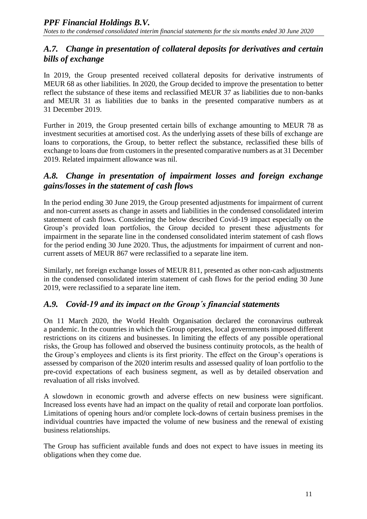## *A.7. Change in presentation of collateral deposits for derivatives and certain bills of exchange*

In 2019, the Group presented received collateral deposits for derivative instruments of MEUR 68 as other liabilities. In 2020, the Group decided to improve the presentation to better reflect the substance of these items and reclassified MEUR 37 as liabilities due to non-banks and MEUR 31 as liabilities due to banks in the presented comparative numbers as at 31 December 2019.

Further in 2019, the Group presented certain bills of exchange amounting to MEUR 78 as investment securities at amortised cost. As the underlying assets of these bills of exchange are loans to corporations, the Group, to better reflect the substance, reclassified these bills of exchange to loans due from customers in the presented comparative numbers as at 31 December 2019. Related impairment allowance was nil.

## *A.8. Change in presentation of impairment losses and foreign exchange gains/losses in the statement of cash flows*

In the period ending 30 June 2019, the Group presented adjustments for impairment of current and non-current assets as change in assets and liabilities in the condensed consolidated interim statement of cash flows. Considering the below described Covid-19 impact especially on the Group's provided loan portfolios, the Group decided to present these adjustments for impairment in the separate line in the condensed consolidated interim statement of cash flows for the period ending 30 June 2020. Thus, the adjustments for impairment of current and noncurrent assets of MEUR 867 were reclassified to a separate line item.

Similarly, net foreign exchange losses of MEUR 811, presented as other non-cash adjustments in the condensed consolidated interim statement of cash flows for the period ending 30 June 2019, were reclassified to a separate line item.

## *A.9. Covid-19 and its impact on the Group´s financial statements*

On 11 March 2020, the World Health Organisation declared the coronavirus outbreak a pandemic. In the countries in which the Group operates, local governments imposed different restrictions on its citizens and businesses. In limiting the effects of any possible operational risks, the Group has followed and observed the business continuity protocols, as the health of the Group's employees and clients is its first priority. The effect on the Group's operations is assessed by comparison of the 2020 interim results and assessed quality of loan portfolio to the pre-covid expectations of each business segment, as well as by detailed observation and revaluation of all risks involved.

A slowdown in economic growth and adverse effects on new business were significant. Increased loss events have had an impact on the quality of retail and corporate loan portfolios. Limitations of opening hours and/or complete lock-downs of certain business premises in the individual countries have impacted the volume of new business and the renewal of existing business relationships.

The Group has sufficient available funds and does not expect to have issues in meeting its obligations when they come due.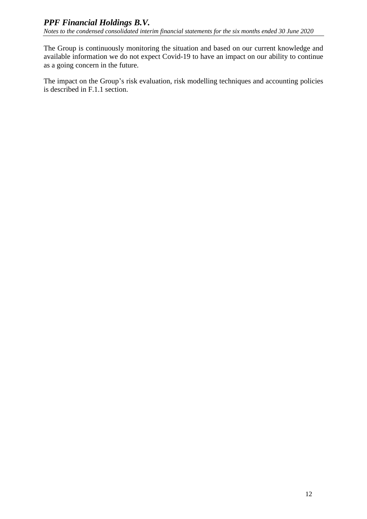The Group is continuously monitoring the situation and based on our current knowledge and available information we do not expect Covid-19 to have an impact on our ability to continue as a going concern in the future.

The impact on the Group's risk evaluation, risk modelling techniques and accounting policies is described in F.1.1 section.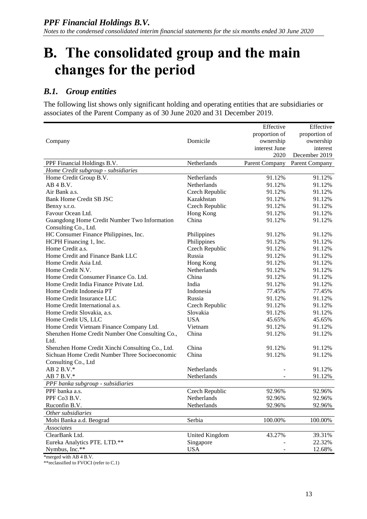## <span id="page-33-0"></span>**B. The consolidated group and the main changes for the period**

#### *B.1. Group entities*

The following list shows only significant holding and operating entities that are subsidiaries or associates of the Parent Company as of 30 June 2020 and 31 December 2019.

|                                                  |                       | Effective      | Effective      |
|--------------------------------------------------|-----------------------|----------------|----------------|
|                                                  |                       | proportion of  | proportion of  |
| Company                                          | Domicile              | ownership      | ownership      |
|                                                  |                       | interest June  | interest       |
|                                                  |                       | 2020           | December 2019  |
| PPF Financial Holdings B.V.                      | Netherlands           | Parent Company | Parent Company |
| Home Credit subgroup - subsidiaries              |                       |                |                |
| Home Credit Group B.V.                           | Netherlands           | 91.12%         | 91.12%         |
| AB 4 B.V.                                        | Netherlands           | 91.12%         | 91.12%         |
| Air Bank a.s.                                    | Czech Republic        | 91.12%         | 91.12%         |
| <b>Bank Home Credit SB JSC</b>                   | Kazakhstan            | 91.12%         | 91.12%         |
| Benxy s.r.o.                                     | Czech Republic        | 91.12%         | 91.12%         |
| Favour Ocean Ltd.                                | Hong Kong             | 91.12%         | 91.12%         |
| Guangdong Home Credit Number Two Information     | China                 | 91.12%         | 91.12%         |
| Consulting Co., Ltd.                             |                       |                |                |
| HC Consumer Finance Philippines, Inc.            | Philippines           | 91.12%         | 91.12%         |
| HCPH Financing 1, Inc.                           | Philippines           | 91.12%         | 91.12%         |
| Home Credit a.s.                                 | Czech Republic        | 91.12%         | 91.12%         |
| Home Credit and Finance Bank LLC                 | Russia                | 91.12%         | 91.12%         |
| Home Credit Asia Ltd.                            | Hong Kong             | 91.12%         | 91.12%         |
| Home Credit N.V.                                 | Netherlands           | 91.12%         | 91.12%         |
| Home Credit Consumer Finance Co. Ltd.            | China                 | 91.12%         | 91.12%         |
| Home Credit India Finance Private Ltd.           | India                 | 91.12%         | 91.12%         |
| Home Credit Indonesia PT                         | Indonesia             | 77.45%         | 77.45%         |
| Home Credit Insurance LLC                        | Russia                | 91.12%         | 91.12%         |
| Home Credit International a.s.                   | Czech Republic        | 91.12%         | 91.12%         |
| Home Credit Slovakia, a.s.                       | Slovakia              | 91.12%         | 91.12%         |
| Home Credit US, LLC                              | <b>USA</b>            | 45.65%         | 45.65%         |
| Home Credit Vietnam Finance Company Ltd.         | Vietnam               | 91.12%         | 91.12%         |
| Shenzhen Home Credit Number One Consulting Co.,  | China                 | 91.12%         | 91.12%         |
| Ltd.                                             |                       |                |                |
| Shenzhen Home Credit Xinchi Consulting Co., Ltd. | China                 | 91.12%         | 91.12%         |
| Sichuan Home Credit Number Three Socioeconomic   | China                 | 91.12%         | 91.12%         |
| Consulting Co., Ltd                              |                       |                |                |
| AB 2 B.V.*                                       | Netherlands           |                | 91.12%         |
| $AB 7 B.V.*$                                     | Netherlands           |                | 91.12%         |
| PPF banka subgroup - subsidiaries                |                       |                |                |
| PPF banka a.s.                                   | Czech Republic        | 92.96%         | 92.96%         |
| PPF Co3 B.V.                                     | Netherlands           | 92.96%         | 92.96%         |
| Ruconfin B.V.                                    | Netherlands           | 92.96%         | 92.96%         |
| Other subsidiaries                               |                       |                |                |
| Mobi Banka a.d. Beograd                          | Serbia                | 100.00%        | 100.00%        |
| Associates                                       |                       |                |                |
| ClearBank Ltd.                                   | <b>United Kingdom</b> | 43.27%         | 39.31%         |
| Eureka Analytics PTE. LTD.**                     | Singapore             |                | 22.32%         |
| Nymbus, Inc.**                                   | <b>USA</b>            |                | 12.68%         |
|                                                  |                       |                |                |

\*merged with AB 4 B.V.

\*\*reclassified to FVOCI (refer to C.1)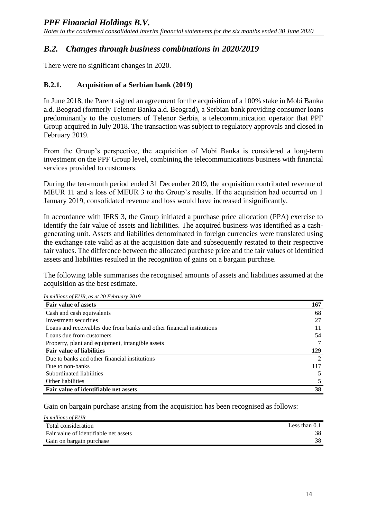## *B.2. Changes through business combinations in 2020/2019*

There were no significant changes in 2020.

#### **B.2.1. Acquisition of a Serbian bank (2019)**

In June 2018, the Parent signed an agreement for the acquisition of a 100% stake in Mobi Banka a.d. Beograd (formerly Telenor Banka a.d. Beograd), a Serbian bank providing consumer loans predominantly to the customers of Telenor Serbia, a telecommunication operator that PPF Group acquired in July 2018. The transaction was subject to regulatory approvals and closed in February 2019.

From the Group's perspective, the acquisition of Mobi Banka is considered a long-term investment on the PPF Group level, combining the telecommunications business with financial services provided to customers.

During the ten-month period ended 31 December 2019, the acquisition contributed revenue of MEUR 11 and a loss of MEUR 3 to the Group's results. If the acquisition had occurred on 1 January 2019, consolidated revenue and loss would have increased insignificantly.

In accordance with IFRS 3, the Group initiated a purchase price allocation (PPA) exercise to identify the fair value of assets and liabilities. The acquired business was identified as a cashgenerating unit. Assets and liabilities denominated in foreign currencies were translated using the exchange rate valid as at the acquisition date and subsequently restated to their respective fair values. The difference between the allocated purchase price and the fair values of identified assets and liabilities resulted in the recognition of gains on a bargain purchase.

The following table summarises the recognised amounts of assets and liabilities assumed at the acquisition as the best estimate.

| In multons of EUR, as at 20 Pebruary 2019                             |                |
|-----------------------------------------------------------------------|----------------|
| <b>Fair value of assets</b>                                           | 167            |
| Cash and cash equivalents                                             | 68             |
| Investment securities                                                 | 27             |
| Loans and receivables due from banks and other financial institutions | 11             |
| Loans due from customers                                              | 54             |
| Property, plant and equipment, intangible assets                      |                |
| <b>Fair value of liabilities</b>                                      | 129            |
| Due to banks and other financial institutions                         | $\mathfrak{D}$ |
| Due to non-banks                                                      | 117            |
| Subordinated liabilities                                              |                |
| Other liabilities                                                     |                |
| Fair value of identifiable net assets                                 | 38             |

*In millions of EUR, as at 20 February 2019*

Gain on bargain purchase arising from the acquisition has been recognised as follows:

| In millions of EUR                    |                 |
|---------------------------------------|-----------------|
| Total consideration                   | Less than $0.1$ |
| Fair value of identifiable net assets | 38              |
| Gain on bargain purchase              | 38              |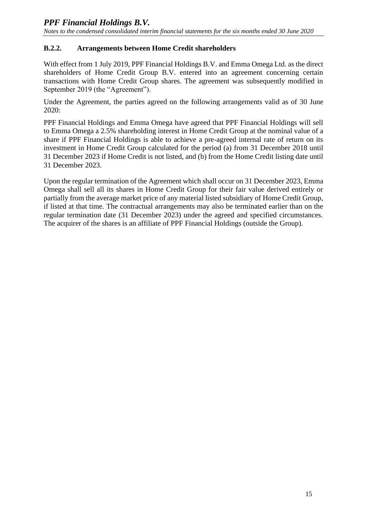#### **B.2.2. Arrangements between Home Credit shareholders**

With effect from 1 July 2019, PPF Financial Holdings B.V. and Emma Omega Ltd. as the direct shareholders of Home Credit Group B.V. entered into an agreement concerning certain transactions with Home Credit Group shares. The agreement was subsequently modified in September 2019 (the "Agreement").

Under the Agreement, the parties agreed on the following arrangements valid as of 30 June 2020:

PPF Financial Holdings and Emma Omega have agreed that PPF Financial Holdings will sell to Emma Omega a 2.5% shareholding interest in Home Credit Group at the nominal value of a share if PPF Financial Holdings is able to achieve a pre-agreed internal rate of return on its investment in Home Credit Group calculated for the period (a) from 31 December 2018 until 31 December 2023 if Home Credit is not listed, and (b) from the Home Credit listing date until 31 December 2023.

Upon the regular termination of the Agreement which shall occur on 31 December 2023, Emma Omega shall sell all its shares in Home Credit Group for their fair value derived entirely or partially from the average market price of any material listed subsidiary of Home Credit Group, if listed at that time. The contractual arrangements may also be terminated earlier than on the regular termination date (31 December 2023) under the agreed and specified circumstances. The acquirer of the shares is an affiliate of PPF Financial Holdings (outside the Group).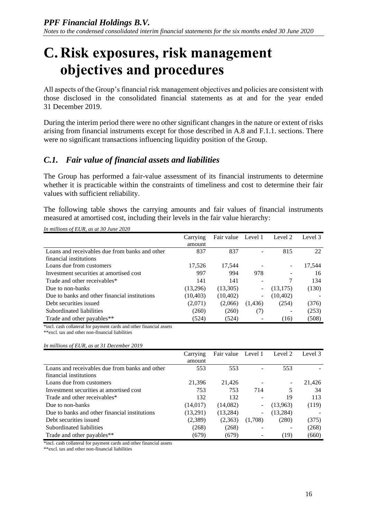## <span id="page-36-0"></span>**C. Risk exposures, risk management objectives and procedures**

All aspects of the Group's financial risk management objectives and policies are consistent with those disclosed in the consolidated financial statements as at and for the year ended 31 December 2019.

During the interim period there were no other significant changes in the nature or extent of risks arising from financial instruments except for those described in A.8 and F.1.1. sections. There were no significant transactions influencing liquidity position of the Group.

## *C.1. Fair value of financial assets and liabilities*

The Group has performed a fair-value assessment of its financial instruments to determine whether it is practicable within the constraints of timeliness and cost to determine their fair values with sufficient reliability.

The following table shows the carrying amounts and fair values of financial instruments measured at amortised cost, including their levels in the fair value hierarchy:

|                                                | Carrying  | Fair value | Level 1                  | Level 2   | Level 3 |
|------------------------------------------------|-----------|------------|--------------------------|-----------|---------|
|                                                | amount    |            |                          |           |         |
| Loans and receivables due from banks and other | 837       | 837        |                          | 815       | 22      |
| financial institutions                         |           |            |                          |           |         |
| Loans due from customers                       | 17,526    | 17,544     |                          |           | 17,544  |
| Investment securities at amortised cost        | 997       | 994        | 978                      |           | 16      |
| Trade and other receivables*                   | 141       | 141        |                          |           | 134     |
| Due to non-banks                               | (13,296)  | (13,305)   | $\overline{\phantom{a}}$ | (13, 175) | (130)   |
| Due to banks and other financial institutions  | (10, 403) | (10, 402)  | $\overline{\phantom{a}}$ | (10, 402) |         |
| Debt securities issued                         | (2,071)   | (2,066)    | (1, 436)                 | (254)     | (376)   |
| Subordinated liabilities                       | (260)     | (260)      | (7)                      |           | (253)   |
| Trade and other payables**                     | (524)     | (524)      |                          | (16)      | (508)   |

*In millions of EUR, as at 30 June 2020*

\*incl. cash collateral for payment cards and other financial assets

\*\*excl. tax and other non-financial liabilities

*In millions of EUR, as at 31 December 2019*

|                                                | Carrying  | Fair value | Level 1                  | Level 2   | Level 3 |
|------------------------------------------------|-----------|------------|--------------------------|-----------|---------|
|                                                | amount    |            |                          |           |         |
| Loans and receivables due from banks and other | 553       | 553        |                          | 553       |         |
| financial institutions                         |           |            |                          |           |         |
| Loans due from customers                       | 21.396    | 21,426     |                          |           | 21,426  |
| Investment securities at amortised cost        | 753       | 753        | 714                      | 5         | 34      |
| Trade and other receivables*                   | 132       | 132        | ۰                        | 19        | 113     |
| Due to non-banks                               | (14, 017) | (14,082)   | -                        | (13,963)  | (119)   |
| Due to banks and other financial institutions  | (13,291)  | (13,284)   | $\overline{\phantom{a}}$ | (13, 284) |         |
| Debt securities issued                         | (2,389)   | (2,363)    | (1,708)                  | (280)     | (375)   |
| Subordinated liabilities                       | (268)     | (268)      |                          |           | (268)   |
| Trade and other payables**                     | (679)     | (679)      | -                        | (19)      | (660)   |

\*incl. cash collateral for payment cards and other financial assets

\*\*excl. tax and other non-financial liabilities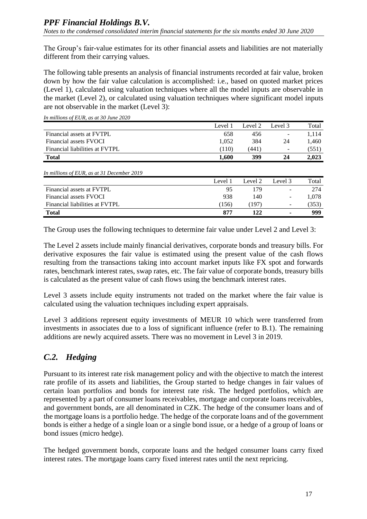The Group's fair-value estimates for its other financial assets and liabilities are not materially different from their carrying values.

The following table presents an analysis of financial instruments recorded at fair value, broken down by how the fair value calculation is accomplished: i.e., based on quoted market prices (Level 1), calculated using valuation techniques where all the model inputs are observable in the market (Level 2), or calculated using valuation techniques where significant model inputs are not observable in the market (Level 3):

|                                            | Level 1 | Level 2 | Level 3 | Total |
|--------------------------------------------|---------|---------|---------|-------|
| Financial assets at FVTPL                  | 658     | 456     |         | 1,114 |
| Financial assets FVOCI                     | 1,052   | 384     | 24      | 1,460 |
| Financial liabilities at FVTPL             | (110)   | (441)   | -       | (551) |
| <b>Total</b>                               | 1,600   | 399     | 24      | 2,023 |
| In millions of EUR, as at 31 December 2019 |         |         |         |       |
|                                            |         |         |         |       |
|                                            | Level 1 | Level 2 | Level 3 | Total |
| Financial assets at FVTPL                  | 95      | 179     | -       | 274   |
| Financial assets FVOCI                     | 938     | 140     | -       | 1,078 |
| Financial liabilities at FVTPL             | (156)   | (197)   |         | (353) |

*In millions of EUR, as at 30 June 2020*

The Group uses the following techniques to determine fair value under Level 2 and Level 3:

The Level 2 assets include mainly financial derivatives, corporate bonds and treasury bills. For derivative exposures the fair value is estimated using the present value of the cash flows resulting from the transactions taking into account market inputs like FX spot and forwards rates, benchmark interest rates, swap rates, etc. The fair value of corporate bonds, treasury bills is calculated as the present value of cash flows using the benchmark interest rates.

Level 3 assets include equity instruments not traded on the market where the fair value is calculated using the valuation techniques including expert appraisals.

Level 3 additions represent equity investments of MEUR 10 which were transferred from investments in associates due to a loss of significant influence (refer to B.1). The remaining additions are newly acquired assets. There was no movement in Level 3 in 2019.

## *C.2. Hedging*

Pursuant to its interest rate risk management policy and with the objective to match the interest rate profile of its assets and liabilities, the Group started to hedge changes in fair values of certain loan portfolios and bonds for interest rate risk. The hedged portfolios, which are represented by a part of consumer loans receivables, mortgage and corporate loans receivables, and government bonds, are all denominated in CZK. The hedge of the consumer loans and of the mortgage loans is a portfolio hedge. The hedge of the corporate loans and of the government bonds is either a hedge of a single loan or a single bond issue, or a hedge of a group of loans or bond issues (micro hedge).

The hedged government bonds, corporate loans and the hedged consumer loans carry fixed interest rates. The mortgage loans carry fixed interest rates until the next repricing.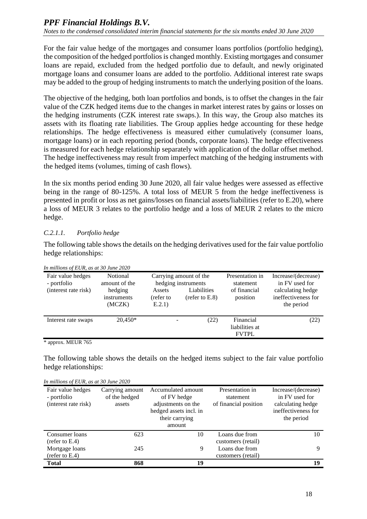For the fair value hedge of the mortgages and consumer loans portfolios (portfolio hedging), the composition of the hedged portfolios is changed monthly. Existing mortgages and consumer loans are repaid, excluded from the hedged portfolio due to default, and newly originated mortgage loans and consumer loans are added to the portfolio. Additional interest rate swaps may be added to the group of hedging instruments to match the underlying position of the loans.

The objective of the hedging, both loan portfolios and bonds, is to offset the changes in the fair value of the CZK hedged items due to the changes in market interest rates by gains or losses on the hedging instruments (CZK interest rate swaps.). In this way, the Group also matches its assets with its floating rate liabilities. The Group applies hedge accounting for these hedge relationships. The hedge effectiveness is measured either cumulatively (consumer loans, mortgage loans) or in each reporting period (bonds, corporate loans). The hedge effectiveness is measured for each hedge relationship separately with application of the dollar offset method. The hedge ineffectiveness may result from imperfect matching of the hedging instruments with the hedged items (volumes, timing of cash flows).

In the six months period ending 30 June 2020, all fair value hedges were assessed as effective being in the range of 80-125%. A total loss of MEUR 5 from the hedge ineffectiveness is presented in profit or loss as net gains/losses on financial assets/liabilities (refer to E.20), where a loss of MEUR 3 relates to the portfolio hedge and a loss of MEUR 2 relates to the micro hedge.

#### *C.2.1.1. Portfolio hedge*

The following table shows the details on the hedging derivatives used for the fair value portfolio hedge relationships:

| In munous of LOR, as at 50 June 2020                     |                                                               |                               |                                                                                         |                                                          |                                                                                                 |
|----------------------------------------------------------|---------------------------------------------------------------|-------------------------------|-----------------------------------------------------------------------------------------|----------------------------------------------------------|-------------------------------------------------------------------------------------------------|
| Fair value hedges<br>- portfolio<br>(interest rate risk) | Notional<br>amount of the<br>hedging<br>instruments<br>(MCZK) | Assets<br>(refer to<br>E.2.1) | Carrying amount of the<br>hedging instruments<br>Liabilities<br>$(\text{refer to E.8})$ | Presentation in<br>statement<br>of financial<br>position | Increase/(decrease)<br>in FV used for<br>calculating hedge<br>ineffectiveness for<br>the period |
| Interest rate swaps                                      | $20,450*$                                                     |                               | (22)                                                                                    | Financial<br>liabilities at<br><b>FVTPL</b>              | (22)                                                                                            |
|                                                          |                                                               |                               |                                                                                         |                                                          |                                                                                                 |

*In millions of EUR, as at 30 June 2020*

\* approx. MEUR 765

The following table shows the details on the hedged items subject to the fair value portfolio hedge relationships:

| In millions of EUR, as at 30 June 2020 |  |  |
|----------------------------------------|--|--|
|                                        |  |  |

| Fair value hedges<br>- portfolio<br>(interest rate risk) | Carrying amount<br>of the hedged<br>assets | Accumulated amount<br>of FV hedge<br>adjustments on the<br>hedged assets incl. in<br>their carrying<br>amount | Presentation in<br>statement<br>of financial position | Increase/(decrease)<br>in FV used for<br>calculating hedge<br>ineffectiveness for<br>the period |
|----------------------------------------------------------|--------------------------------------------|---------------------------------------------------------------------------------------------------------------|-------------------------------------------------------|-------------------------------------------------------------------------------------------------|
| Consumer loans                                           | 623                                        | 10                                                                                                            | Loans due from                                        | 10                                                                                              |
| (refer to $E.4$ )                                        |                                            |                                                                                                               | customers (retail)                                    |                                                                                                 |
| Mortgage loans                                           | 245                                        | 9                                                                                                             | Loans due from                                        | 9                                                                                               |
| (refer to $E.4$ )                                        |                                            |                                                                                                               | customers (retail)                                    |                                                                                                 |
| <b>Total</b>                                             | 868                                        | 19                                                                                                            |                                                       | 19                                                                                              |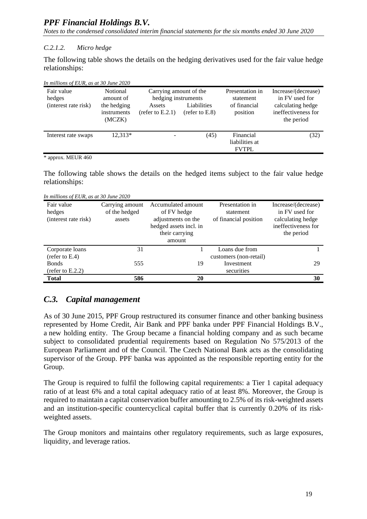*Notes to the condensed consolidated interim financial statements for the six months ended 30 June 2020*

#### *C.2.1.2. Micro hedge*

The following table shows the details on the hedging derivatives used for the fair value hedge relationships:

| In millions of EUR, as at 30 June 2020 |  |  |
|----------------------------------------|--|--|
|                                        |  |  |

| Fair value<br>hedges<br>(interest rate risk) | Notional<br>amount of<br>the hedging<br>instruments<br>(MCZK) | Carrying amount of the<br>hedging instruments<br>Assets<br>(refer to $E.2.1$ ) | Liabilities<br>(refer to E.8) | Presentation in<br>statement<br>of financial<br>position | Increase/(decrease)<br>in FV used for<br>calculating hedge<br>ineffectiveness for<br>the period |
|----------------------------------------------|---------------------------------------------------------------|--------------------------------------------------------------------------------|-------------------------------|----------------------------------------------------------|-------------------------------------------------------------------------------------------------|
| Interest rate swaps                          | $12.313*$                                                     |                                                                                | (45)                          | Financial<br>liabilities at<br><b>FVTPL</b>              | (32)                                                                                            |

\* approx. MEUR 460

The following table shows the details on the hedged items subject to the fair value hedge relationships:

*In millions of EUR, as at 30 June 2020*

| Fair value<br>hedges<br>(interest rate risk) | Carrying amount<br>of the hedged<br>assets | Accumulated amount<br>of FV hedge<br>adjustments on the<br>hedged assets incl. in<br>their carrying<br>amount | Presentation in<br>statement<br>of financial position | Increase/(decrease)<br>in FV used for<br>calculating hedge<br>ineffectiveness for<br>the period |
|----------------------------------------------|--------------------------------------------|---------------------------------------------------------------------------------------------------------------|-------------------------------------------------------|-------------------------------------------------------------------------------------------------|
| Corporate loans                              | 31                                         |                                                                                                               | Loans due from                                        |                                                                                                 |
| (refer to $E.4$ )                            |                                            |                                                                                                               | customers (non-retail)                                |                                                                                                 |
| <b>Bonds</b>                                 | 555                                        | 19                                                                                                            | Investment                                            | 29                                                                                              |
| (refer to $E.2.2$ )                          |                                            |                                                                                                               | securities                                            |                                                                                                 |
| <b>Total</b>                                 | 586                                        | 20                                                                                                            |                                                       | 30                                                                                              |

## *C.3. Capital management*

As of 30 June 2015, PPF Group restructured its consumer finance and other banking business represented by Home Credit, Air Bank and PPF banka under PPF Financial Holdings B.V., a new holding entity. The Group became a financial holding company and as such became subject to consolidated prudential requirements based on Regulation No 575/2013 of the European Parliament and of the Council. The Czech National Bank acts as the consolidating supervisor of the Group. PPF banka was appointed as the responsible reporting entity for the Group.

The Group is required to fulfil the following capital requirements: a Tier 1 capital adequacy ratio of at least 6% and a total capital adequacy ratio of at least 8%. Moreover, the Group is required to maintain a capital conservation buffer amounting to 2.5% of its risk-weighted assets and an institution-specific countercyclical capital buffer that is currently 0.20% of its riskweighted assets.

The Group monitors and maintains other regulatory requirements, such as large exposures, liquidity, and leverage ratios.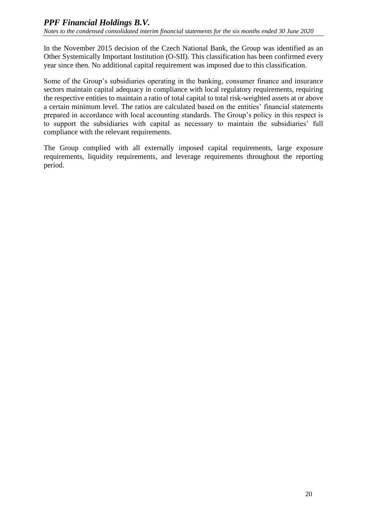In the November 2015 decision of the Czech National Bank, the Group was identified as an Other Systemically Important Institution (O-SII). This classification has been confirmed every year since then. No additional capital requirement was imposed due to this classification.

Some of the Group's subsidiaries operating in the banking, consumer finance and insurance sectors maintain capital adequacy in compliance with local regulatory requirements, requiring the respective entities to maintain a ratio of total capital to total risk-weighted assets at or above a certain minimum level. The ratios are calculated based on the entities' financial statements prepared in accordance with local accounting standards. The Group's policy in this respect is to support the subsidiaries with capital as necessary to maintain the subsidiaries' full compliance with the relevant requirements.

The Group complied with all externally imposed capital requirements, large exposure requirements, liquidity requirements, and leverage requirements throughout the reporting period.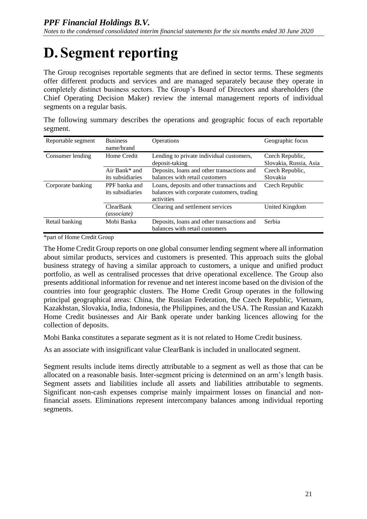# <span id="page-41-0"></span>**D. Segment reporting**

The Group recognises reportable segments that are defined in sector terms. These segments offer different products and services and are managed separately because they operate in completely distinct business sectors. The Group's Board of Directors and shareholders (the Chief Operating Decision Maker) review the internal management reports of individual segments on a regular basis.

| segment.           |                               |                                          |                                                                                                                                    |
|--------------------|-------------------------------|------------------------------------------|------------------------------------------------------------------------------------------------------------------------------------|
| Reportable segment | <b>Business</b><br>name/brand | <b>Operations</b>                        | Geographic focus                                                                                                                   |
| Consumer lending   | Home Credit                   | Lending to private individual customers, | Czech Republic,<br>$\begin{array}{ccccccccccccccccc}\n\hline\n\end{array}$ and $\begin{array}{ccccccccccccc}\n\hline\n\end{array}$ |

The following summary describes the operations and geographic focus of each reportable

| Consumer lending  | Home Credit      | Lending to private individual customers,   | Czech Republic,        |
|-------------------|------------------|--------------------------------------------|------------------------|
|                   |                  | deposit-taking                             | Slovakia, Russia, Asia |
|                   | Air Bank* and    | Deposits, loans and other transactions and | Czech Republic,        |
|                   | its subsidiaries | balances with retail customers             | Slovakia               |
| Corporate banking | PPF banka and    | Loans, deposits and other transactions and | Czech Republic         |
|                   | its subsidiaries | balances with corporate customers, trading |                        |
|                   |                  | activities                                 |                        |
|                   | <b>ClearBank</b> | Clearing and settlement services           | United Kingdom         |
|                   | (associate)      |                                            |                        |
| Retail banking    | Mobi Banka       | Deposits, loans and other transactions and | Serbia                 |
|                   |                  | balances with retail customers             |                        |

\*part of Home Credit Group

The Home Credit Group reports on one global consumer lending segment where all information about similar products, services and customers is presented. This approach suits the global business strategy of having a similar approach to customers, a unique and unified product portfolio, as well as centralised processes that drive operational excellence. The Group also presents additional information for revenue and net interest income based on the division of the countries into four geographic clusters. The Home Credit Group operates in the following principal geographical areas: China, the Russian Federation, the Czech Republic, Vietnam, Kazakhstan, Slovakia, India, Indonesia, the Philippines, and the USA. The Russian and Kazakh Home Credit businesses and Air Bank operate under banking licences allowing for the collection of deposits.

Mobi Banka constitutes a separate segment as it is not related to Home Credit business.

As an associate with insignificant value ClearBank is included in unallocated segment.

Segment results include items directly attributable to a segment as well as those that can be allocated on a reasonable basis. Inter-segment pricing is determined on an arm's length basis. Segment assets and liabilities include all assets and liabilities attributable to segments. Significant non-cash expenses comprise mainly impairment losses on financial and nonfinancial assets. Eliminations represent intercompany balances among individual reporting segments.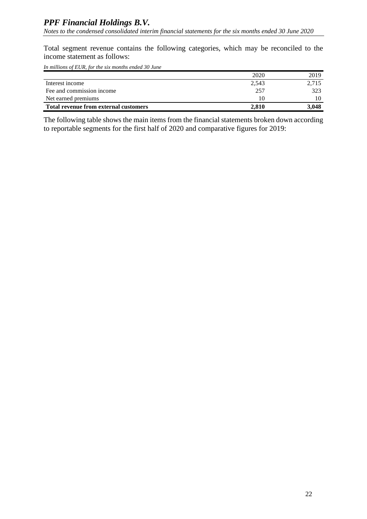Total segment revenue contains the following categories, which may be reconciled to the income statement as follows:

*In millions of EUR, for the six months ended 30 June*

|                                              | 2020  | 2019  |
|----------------------------------------------|-------|-------|
| Interest income                              | 2,543 | 2,715 |
| Fee and commission income                    | 257   | 323   |
| Net earned premiums                          | 10    | 10    |
| <b>Total revenue from external customers</b> | 2.810 | 3.048 |

The following table shows the main items from the financial statements broken down according to reportable segments for the first half of 2020 and comparative figures for 2019: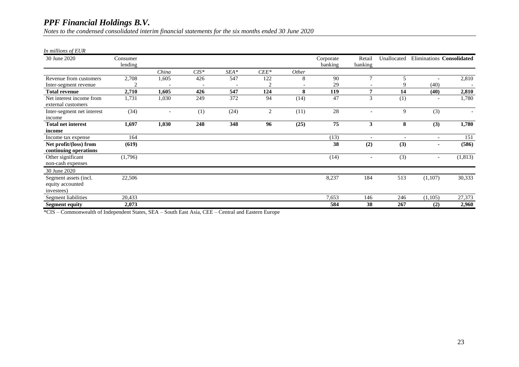*Notes to the condensed consolidated interim financial statements for the six months ended 30 June 2020*

#### *In millions of EUR*

| 30 June 2020               | Consumer |       |         |      |                |              | Corporate | Retail                   | Unallocated              |                          | Eliminations Consolidated |
|----------------------------|----------|-------|---------|------|----------------|--------------|-----------|--------------------------|--------------------------|--------------------------|---------------------------|
|                            | lending  |       |         |      |                |              | banking   | banking                  |                          |                          |                           |
|                            |          | China | $CIS^*$ | SEA* | $CEE*$         | <i>Other</i> |           |                          |                          |                          |                           |
| Revenue from customers     | 2,708    | 1,605 | 426     | 547  | 122            | 8            | 90        | $\overline{7}$           | 5                        |                          | 2,810                     |
| Inter-segment revenue      |          |       |         |      | 2              |              | 29        |                          |                          | (40)                     |                           |
| <b>Total revenue</b>       | 2,710    | 1,605 | 426     | 547  | 124            | 8            | 119       | 7                        | 14                       | (40)                     | 2,810                     |
| Net interest income from   | 1,731    | 1,030 | 249     | 372  | 94             | (14)         | 47        | 3                        | (1)                      |                          | 1,780                     |
| external customers         |          |       |         |      |                |              |           |                          |                          |                          |                           |
| Inter-segment net interest | (34)     |       | (1)     | (24) | $\overline{2}$ | (11)         | 28        | $\overline{\phantom{a}}$ | 9                        | (3)                      |                           |
| income                     |          |       |         |      |                |              |           |                          |                          |                          |                           |
| <b>Total net interest</b>  | 1,697    | 1,030 | 248     | 348  | 96             | (25)         | 75        | 3                        | 8                        | (3)                      | 1,780                     |
| income                     |          |       |         |      |                |              |           |                          |                          |                          |                           |
| Income tax expense         | 164      |       |         |      |                |              | (13)      | $\overline{\phantom{a}}$ | $\overline{\phantom{a}}$ | $\overline{\phantom{a}}$ | 151                       |
| Net profit/(loss) from     | (619)    |       |         |      |                |              | 38        | (2)                      | (3)                      | ٠                        | (586)                     |
| continuing operations      |          |       |         |      |                |              |           |                          |                          |                          |                           |
| Other significant          | (1,796)  |       |         |      |                |              | (14)      | $\overline{\phantom{a}}$ | (3)                      | $\overline{\phantom{a}}$ | (1, 813)                  |
| non-cash expenses          |          |       |         |      |                |              |           |                          |                          |                          |                           |
| 30 June 2020               |          |       |         |      |                |              |           |                          |                          |                          |                           |
| Segment assets (incl.      | 22,506   |       |         |      |                |              | 8,237     | 184                      | 513                      | (1,107)                  | 30,333                    |
| equity accounted           |          |       |         |      |                |              |           |                          |                          |                          |                           |
| investees)                 |          |       |         |      |                |              |           |                          |                          |                          |                           |
| Segment liabilities        | 20,433   |       |         |      |                |              | 7,653     | 146                      | 246                      | (1,105)                  | 27,373                    |
| <b>Segment equity</b>      | 2,073    |       |         |      |                |              | 584       | 38                       | 267                      | (2)                      | 2,960                     |

\*CIS – Commonwealth of Independent States, SEA – South East Asia, CEE – Central and Eastern Europe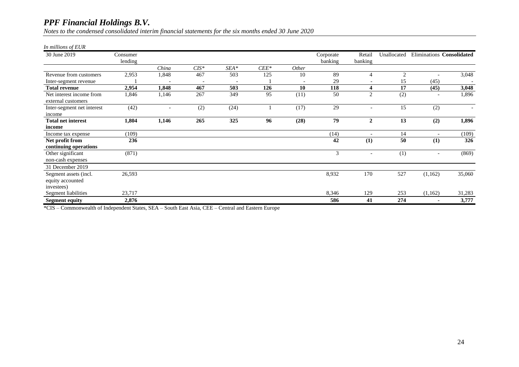*Notes to the condensed consolidated interim financial statements for the six months ended 30 June 2020*

#### *In millions of EUR*

| 30 June 2019                                   | Consumer |       |         |        |        |       | Corporate | Retail                   | Unallocated    |                          | Eliminations Consolidated |
|------------------------------------------------|----------|-------|---------|--------|--------|-------|-----------|--------------------------|----------------|--------------------------|---------------------------|
|                                                | lending  |       |         |        |        |       | banking   | banking                  |                |                          |                           |
|                                                |          | China | $CIS^*$ | $SEA*$ | $CEE*$ | Other |           |                          |                |                          |                           |
| Revenue from customers                         | 2,953    | 1,848 | 467     | 503    | 125    | 10    | 89        | 4                        | $\overline{2}$ |                          | 3,048                     |
| Inter-segment revenue                          |          |       |         |        |        |       | 29        |                          | 15             | (45)                     |                           |
| <b>Total revenue</b>                           | 2,954    | 1,848 | 467     | 503    | 126    | 10    | 118       | 4                        | 17             | (45)                     | 3,048                     |
| Net interest income from<br>external customers | 1,846    | 1,146 | 267     | 349    | 95     | (11)  | 50        | 2                        | (2)            | $\overline{a}$           | 1,896                     |
| Inter-segment net interest                     | (42)     |       | (2)     | (24)   |        | (17)  | 29        |                          | 15             | (2)                      | $\overline{\phantom{a}}$  |
| income                                         |          |       |         |        |        |       |           |                          |                |                          |                           |
| <b>Total net interest</b>                      | 1,804    | 1,146 | 265     | 325    | 96     | (28)  | 79        | $\mathbf{2}$             | 13             | (2)                      | 1,896                     |
| income                                         |          |       |         |        |        |       |           |                          |                |                          |                           |
| Income tax expense                             | (109)    |       |         |        |        |       | (14)      |                          | 14             |                          | (109)                     |
| Net profit from                                | 236      |       |         |        |        |       | 42        | (1)                      | 50             | (1)                      | 326                       |
| continuing operations                          |          |       |         |        |        |       |           |                          |                |                          |                           |
| Other significant                              | (871)    |       |         |        |        |       | 3         | $\overline{\phantom{a}}$ | (1)            | $\overline{\phantom{a}}$ | (869)                     |
| non-cash expenses                              |          |       |         |        |        |       |           |                          |                |                          |                           |
| 31 December 2019                               |          |       |         |        |        |       |           |                          |                |                          |                           |
| Segment assets (incl.<br>equity accounted      | 26,593   |       |         |        |        |       | 8,932     | 170                      | 527            | (1,162)                  | 35,060                    |
| investees)<br>Segment liabilities              | 23,717   |       |         |        |        |       | 8,346     | 129                      | 253            | (1,162)                  | 31,283                    |
| <b>Segment equity</b>                          | 2,876    |       |         |        |        |       | 586       | 41                       | 274            | ۰                        | 3,777                     |

\*CIS – Commonwealth of Independent States, SEA – South East Asia, CEE – Central and Eastern Europe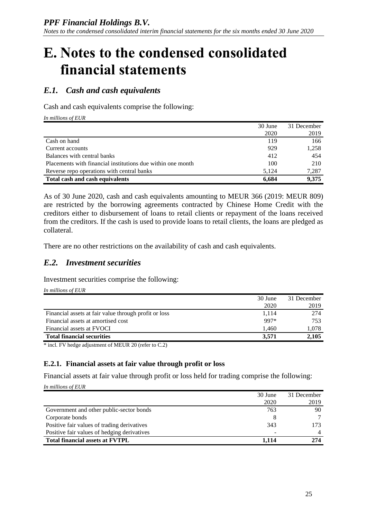## <span id="page-45-0"></span>**E. Notes to the condensed consolidated financial statements**

## *E.1. Cash and cash equivalents*

Cash and cash equivalents comprise the following:

*In millions of EUR*

|                                                             | 30 June | 31 December |
|-------------------------------------------------------------|---------|-------------|
|                                                             | 2020    | 2019        |
| Cash on hand                                                | 119     | 166         |
| Current accounts                                            | 929     | 1,258       |
| Balances with central banks                                 | 412     | 454         |
| Placements with financial institutions due within one month | 100     | 210         |
| Reverse repo operations with central banks                  | 5.124   | 7,287       |
| Total cash and cash equivalents                             | 6.684   | 9,375       |

As of 30 June 2020, cash and cash equivalents amounting to MEUR 366 (2019: MEUR 809) are restricted by the borrowing agreements contracted by Chinese Home Credit with the creditors either to disbursement of loans to retail clients or repayment of the loans received from the creditors. If the cash is used to provide loans to retail clients, the loans are pledged as collateral.

There are no other restrictions on the availability of cash and cash equivalents.

#### *E.2. Investment securities*

Investment securities comprise the following:

*In millions of EUR*

|                                                       | 30 June | 31 December |
|-------------------------------------------------------|---------|-------------|
|                                                       | 2020    | 2019        |
| Financial assets at fair value through profit or loss | 1.114   | 274         |
| Financial assets at amortised cost                    | 997*    | 753         |
| Financial assets at FVOCI                             | 1.460   | 1,078       |
| <b>Total financial securities</b>                     | 3.571   | 2,105       |

\* incl. FV hedge adjustment of MEUR 20 (refer to C.2)

#### **E.2.1. Financial assets at fair value through profit or loss**

Financial assets at fair value through profit or loss held for trading comprise the following:

*In millions of EUR*

|                                             | 30 June | 31 December |
|---------------------------------------------|---------|-------------|
|                                             | 2020    | 2019        |
| Government and other public-sector bonds    | 763     | 90          |
| Corporate bonds                             |         |             |
| Positive fair values of trading derivatives | 343     | 173         |
| Positive fair values of hedging derivatives |         |             |
| <b>Total financial assets at FVTPL</b>      | 1.114   | 274         |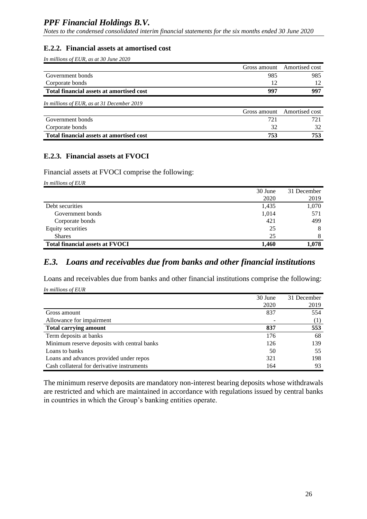*Notes to the condensed consolidated interim financial statements for the six months ended 30 June 2020*

#### **E.2.2. Financial assets at amortised cost**

*In millions of EUR, as at 30 June 2020*

|                                                 |     | Gross amount Amortised cost |
|-------------------------------------------------|-----|-----------------------------|
| Government bonds                                | 985 | 985                         |
| Corporate bonds                                 |     | 12                          |
| <b>Total financial assets at amortised cost</b> | 997 | 997                         |
| In millions of EUR, as at 31 December 2019      |     |                             |
|                                                 |     | Gross amount Amortised cost |
| Government bonds                                | 721 | 721                         |
| Corporate bonds                                 | 32  | 32                          |

**Total financial assets at amortised cost 753 753**

#### **E.2.3. Financial assets at FVOCI**

Financial assets at FVOCI comprise the following:

*In millions of EUR*

|                                        | 30 June | 31 December |
|----------------------------------------|---------|-------------|
|                                        | 2020    | 2019        |
| Debt securities                        | 1,435   | 1,070       |
| Government bonds                       | 1,014   | 571         |
| Corporate bonds                        | 421     | 499         |
| Equity securities                      | 25      | 8           |
| <b>Shares</b>                          | 25      | 8           |
| <b>Total financial assets at FVOCI</b> | 1.460   | 1.078       |

#### *E.3. Loans and receivables due from banks and other financial institutions*

Loans and receivables due from banks and other financial institutions comprise the following: *In millions of EUR*

|                                             | 30 June | 31 December |
|---------------------------------------------|---------|-------------|
|                                             | 2020    | 2019        |
| Gross amount                                | 837     | 554         |
| Allowance for impairment                    |         | (1)         |
| <b>Total carrying amount</b>                | 837     | 553         |
| Term deposits at banks                      | 176     | 68          |
| Minimum reserve deposits with central banks | 126     | 139         |
| Loans to banks                              | 50      | 55          |
| Loans and advances provided under repos     | 321     | 198         |
| Cash collateral for derivative instruments  | 164     | 93          |

The minimum reserve deposits are mandatory non-interest bearing deposits whose withdrawals are restricted and which are maintained in accordance with regulations issued by central banks in countries in which the Group's banking entities operate.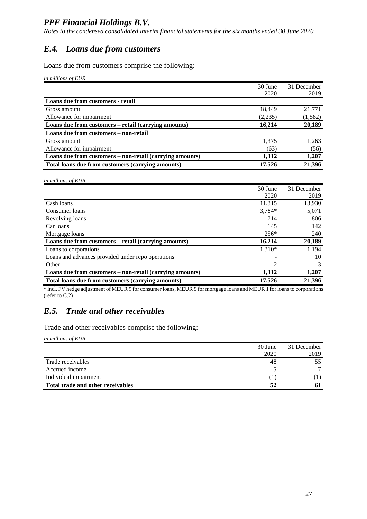## *E.4. Loans due from customers*

Loans due from customers comprise the following:

*In millions of EUR*

|                                                          | 30 June | 31 December |
|----------------------------------------------------------|---------|-------------|
|                                                          | 2020    | 2019        |
| Loans due from customers - retail                        |         |             |
| Gross amount                                             | 18,449  | 21,771      |
| Allowance for impairment                                 | (2,235) | (1, 582)    |
| Loans due from customers – retail (carrying amounts)     | 16,214  | 20,189      |
| Loans due from customers - non-retail                    |         |             |
| Gross amount                                             | 1,375   | 1,263       |
| Allowance for impairment                                 | (63)    | (56)        |
| Loans due from customers - non-retail (carrying amounts) | 1.312   | 1,207       |
| Total loans due from customers (carrying amounts)        | 17.526  | 21,396      |

| In millions of EUR                                       |         |             |
|----------------------------------------------------------|---------|-------------|
|                                                          | 30 June | 31 December |
|                                                          | 2020    | 2019        |
| Cash loans                                               | 11,315  | 13,930      |
| Consumer loans                                           | 3,784*  | 5,071       |
| Revolving loans                                          | 714     | 806         |
| Car loans                                                | 145     | 142         |
| Mortgage loans                                           | $256*$  | 240         |
| Loans due from customers – retail (carrying amounts)     | 16,214  | 20,189      |
| Loans to corporations                                    | 1,310*  | 1,194       |
| Loans and advances provided under repo operations        |         | 10          |
| Other                                                    | 2       | 3           |
| Loans due from customers – non-retail (carrying amounts) | 1,312   | 1,207       |
| Total loans due from customers (carrying amounts)        | 17,526  | 21,396      |

\* incl. FV hedge adjustment of MEUR 9 for consumer loans, MEUR 9 for mortgage loans and MEUR 1 for loans to corporations (refer to C.2)

## *E.5. Trade and other receivables*

Trade and other receivables comprise the following:

*In millions of EUR*

|                                   | 30 June | 31 December |
|-----------------------------------|---------|-------------|
|                                   | 2020    | 2019        |
| Trade receivables                 | 48      | 55          |
| Accrued income                    |         |             |
| Individual impairment             |         |             |
| Total trade and other receivables | 52      |             |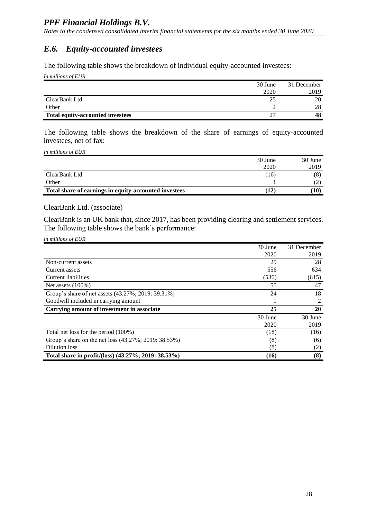## *E.6. Equity-accounted investees*

The following table shows the breakdown of individual equity-accounted investees:

*In millions of EUR*

|                                         | 30 June | 31 December |
|-----------------------------------------|---------|-------------|
|                                         | 2020    | 2019        |
| ClearBank Ltd.                          | 25      | 20          |
| Other                                   |         | 28          |
| <b>Total equity-accounted investees</b> | າສ      | 48          |

The following table shows the breakdown of the share of earnings of equity-accounted investees, net of fax:

*In millions of EUR*

|                                                       | 30 June        | 30 June                  |
|-------------------------------------------------------|----------------|--------------------------|
|                                                       | 2020           | 2019                     |
| ClearBank Ltd.                                        | (16)           | (8)                      |
| Other                                                 |                | $\overline{\phantom{0}}$ |
| Total share of earnings in equity-accounted investees | $\mathbf{12})$ | [10]                     |

#### ClearBank Ltd. (associate)

ClearBank is an UK bank that, since 2017, has been providing clearing and settlement services. The following table shows the bank's performance:

| In millions of EUR |  |
|--------------------|--|
|                    |  |

|                                                      | 30 June | 31 December |
|------------------------------------------------------|---------|-------------|
|                                                      | 2020    | 2019        |
| Non-current assets                                   | 29      | 28          |
| Current assets                                       | 556     | 634         |
| Current liabilities                                  | (530)   | (615)       |
| Net assets $(100\%)$                                 | 55      | 47          |
| Group's share of net assets (43.27%; 2019: 39.31%)   | 24      | 18          |
| Goodwill included in carrying amount                 |         | 2           |
| Carrying amount of investment in associate           | 25      | 20          |
|                                                      | 30 June | 30 June     |
|                                                      | 2020    | 2019        |
| Total net loss for the period (100%)                 | (18)    | (16)        |
| Group's share on the net loss (43.27%; 2019: 38.53%) | (8)     | (6)         |
| Dilution loss                                        | (8)     | (2)         |
| Total share in profit/(loss) (43.27%; 2019: 38.53%)  | (16)    | (8)         |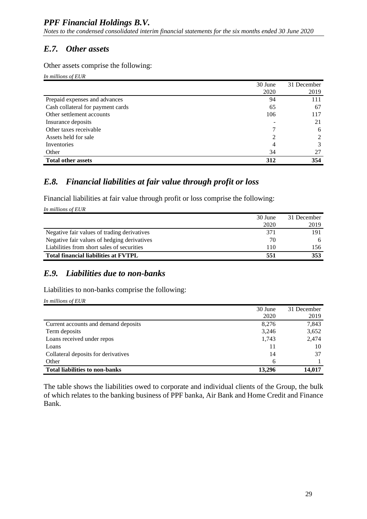## *E.7. Other assets*

Other assets comprise the following:

*In millions of EUR*

|                                   | 30 June | 31 December |
|-----------------------------------|---------|-------------|
|                                   | 2020    | 2019        |
| Prepaid expenses and advances     | 94      | 111         |
| Cash collateral for payment cards | 65      | 67          |
| Other settlement accounts         | 106     | 117         |
| Insurance deposits                |         | 21          |
| Other taxes receivable            |         | 6           |
| Assets held for sale              | 2       | 2           |
| Inventories                       | 4       | 3           |
| Other                             | 34      | 27          |
| <b>Total other assets</b>         | 312     | 354         |

## *E.8. Financial liabilities at fair value through profit or loss*

Financial liabilities at fair value through profit or loss comprise the following:

*In millions of EUR*

|                                             | 30 June | 31 December |
|---------------------------------------------|---------|-------------|
|                                             | 2020    | 2019        |
| Negative fair values of trading derivatives | 371     | 191         |
| Negative fair values of hedging derivatives | 70      | 6           |
| Liabilities from short sales of securities  | 110     | 156         |
| <b>Total financial liabilities at FVTPL</b> | 551     | 353         |

## *E.9. Liabilities due to non-banks*

Liabilities to non-banks comprise the following:

*In millions of EUR*

|                                       | 30 June | 31 December |
|---------------------------------------|---------|-------------|
|                                       | 2020    | 2019        |
| Current accounts and demand deposits  | 8,276   | 7,843       |
| Term deposits                         | 3,246   | 3,652       |
| Loans received under repos            | 1,743   | 2,474       |
| Loans                                 |         | 10          |
| Collateral deposits for derivatives   | 14      | 37          |
| Other                                 | 6       |             |
| <b>Total liabilities to non-banks</b> | 13.296  | 14,017      |

The table shows the liabilities owed to corporate and individual clients of the Group, the bulk of which relates to the banking business of PPF banka, Air Bank and Home Credit and Finance Bank.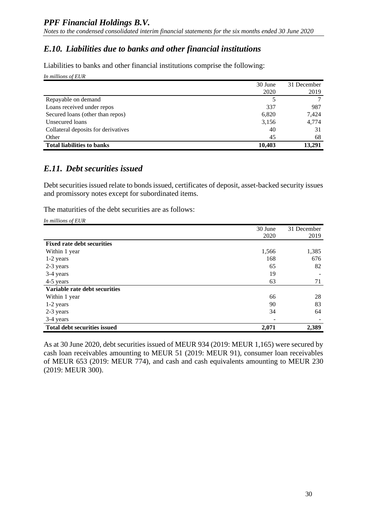### *E.10. Liabilities due to banks and other financial institutions*

Liabilities to banks and other financial institutions comprise the following:

*In millions of EUR*

|                                     | 30 June<br>2020 | 31 December<br>2019 |
|-------------------------------------|-----------------|---------------------|
| Repayable on demand                 |                 |                     |
| Loans received under repos          | 337             | 987                 |
| Secured loans (other than repos)    | 6,820           | 7,424               |
| Unsecured loans                     | 3,156           | 4,774               |
| Collateral deposits for derivatives | 40              | 31                  |
| Other                               | 45              | 68                  |
| <b>Total liabilities to banks</b>   | 10,403          | 13,291              |

#### *E.11. Debt securities issued*

Debt securities issued relate to bonds issued, certificates of deposit, asset-backed security issues and promissory notes except for subordinated items.

The maturities of the debt securities are as follows:

*In millions of EUR*

|                                     | 30 June | 31 December |
|-------------------------------------|---------|-------------|
|                                     | 2020    | 2019        |
| <b>Fixed rate debt securities</b>   |         |             |
| Within 1 year                       | 1,566   | 1,385       |
| 1-2 years                           | 168     | 676         |
| 2-3 years                           | 65      | 82          |
| 3-4 years                           | 19      |             |
| 4-5 years                           | 63      | 71          |
| Variable rate debt securities       |         |             |
| Within 1 year                       | 66      | 28          |
| 1-2 years                           | 90      | 83          |
| 2-3 years                           | 34      | 64          |
| 3-4 years                           |         |             |
| <b>Total debt securities issued</b> | 2,071   | 2,389       |

As at 30 June 2020, debt securities issued of MEUR 934 (2019: MEUR 1,165) were secured by cash loan receivables amounting to MEUR 51 (2019: MEUR 91), consumer loan receivables of MEUR 653 (2019: MEUR 774), and cash and cash equivalents amounting to MEUR 230 (2019: MEUR 300).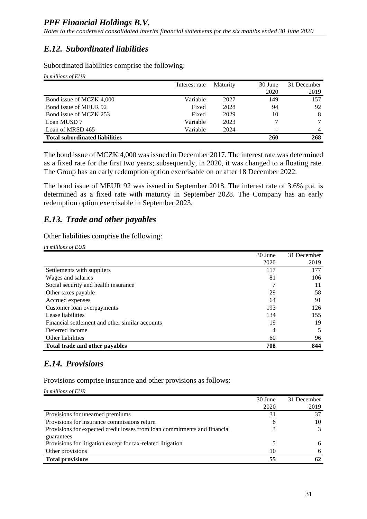## *E.12. Subordinated liabilities*

Subordinated liabilities comprise the following:

| In millions of EUR                    |               |          |         |             |
|---------------------------------------|---------------|----------|---------|-------------|
|                                       | Interest rate | Maturity | 30 June | 31 December |
|                                       |               |          | 2020    | 2019        |
| Bond issue of MCZK 4,000              | Variable      | 2027     | 149     | 157         |
| Bond issue of MEUR 92                 | Fixed         | 2028     | 94      | 92          |
| Bond issue of MCZK 253                | Fixed         | 2029     | 10      | 8           |
| Loan MUSD 7                           | Variable      | 2023     |         | 7           |
| Loan of MRSD 465                      | Variable      | 2024     |         | 4           |
| <b>Total subordinated liabilities</b> |               |          | 260     | 268         |

The bond issue of MCZK 4,000 was issued in December 2017. The interest rate was determined as a fixed rate for the first two years; subsequently, in 2020, it was changed to a floating rate. The Group has an early redemption option exercisable on or after 18 December 2022.

The bond issue of MEUR 92 was issued in September 2018. The interest rate of 3.6% p.a. is determined as a fixed rate with maturity in September 2028. The Company has an early redemption option exercisable in September 2023.

## *E.13. Trade and other payables*

Other liabilities comprise the following:

| In millions of EUR                              |         |             |
|-------------------------------------------------|---------|-------------|
|                                                 | 30 June | 31 December |
|                                                 | 2020    | 2019        |
| Settlements with suppliers                      | 117     | 177         |
| Wages and salaries                              | 81      | 106         |
| Social security and health insurance            |         | 11          |
| Other taxes payable                             | 29      | 58          |
| Accrued expenses                                | 64      | 91          |
| Customer loan overpayments                      | 193     | 126         |
| Lease liabilities                               | 134     | 155         |
| Financial settlement and other similar accounts | 19      | 19          |
| Deferred income                                 | 4       | 5           |
| Other liabilities                               | 60      | 96          |
| Total trade and other payables                  | 708     | 844         |

## *E.14. Provisions*

Provisions comprise insurance and other provisions as follows:

*In millions of EUR*

|                                                                           | 30 June | 31 December |
|---------------------------------------------------------------------------|---------|-------------|
|                                                                           | 2020    | 2019        |
| Provisions for unearned premiums                                          | 31      | 37          |
| Provisions for insurance commissions return                               | h       | 10          |
| Provisions for expected credit losses from loan commitments and financial |         | 3           |
| guarantees                                                                |         |             |
| Provisions for litigation except for tax-related litigation               |         | 6           |
| Other provisions                                                          | 10      | 6           |
| <b>Total provisions</b>                                                   | 55      | 62          |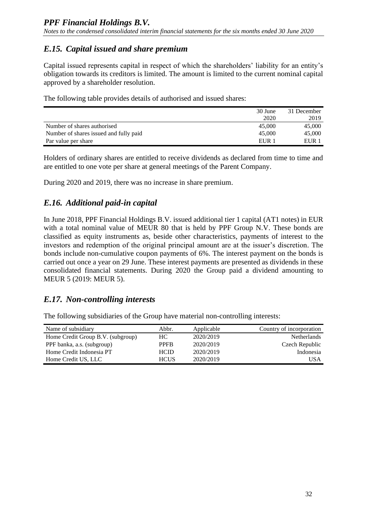## *E.15. Capital issued and share premium*

Capital issued represents capital in respect of which the shareholders' liability for an entity's obligation towards its creditors is limited. The amount is limited to the current nominal capital approved by a shareholder resolution.

The following table provides details of authorised and issued shares:

|                                        | 30 June          | 31 December |
|----------------------------------------|------------------|-------------|
|                                        | 2020             | 2019        |
| Number of shares authorised            | 45,000           | 45,000      |
| Number of shares issued and fully paid | 45,000           | 45,000      |
| Par value per share                    | EUR <sub>1</sub> | EUR 1       |

Holders of ordinary shares are entitled to receive dividends as declared from time to time and are entitled to one vote per share at general meetings of the Parent Company.

During 2020 and 2019, there was no increase in share premium.

## *E.16. Additional paid-in capital*

In June 2018, PPF Financial Holdings B.V. issued additional tier 1 capital (AT1 notes) in EUR with a total nominal value of MEUR 80 that is held by PPF Group N.V. These bonds are classified as equity instruments as, beside other characteristics, payments of interest to the investors and redemption of the original principal amount are at the issuer's discretion. The bonds include non-cumulative coupon payments of 6%. The interest payment on the bonds is carried out once a year on 29 June. These interest payments are presented as dividends in these consolidated financial statements. During 2020 the Group paid a dividend amounting to MEUR 5 (2019: MEUR 5).

## *E.17. Non-controlling interests*

The following subsidiaries of the Group have material non-controlling interests:

| Name of subsidiary                | Abbr.       | Applicable | Country of incorporation |
|-----------------------------------|-------------|------------|--------------------------|
| Home Credit Group B.V. (subgroup) | HC.         | 2020/2019  | <b>Netherlands</b>       |
| PPF banka, a.s. (subgroup)        | <b>PPFR</b> | 2020/2019  | Czech Republic           |
| Home Credit Indonesia PT          | <b>HCID</b> | 2020/2019  | Indonesia                |
| Home Credit US, LLC               | <b>HCUS</b> | 2020/2019  | USA                      |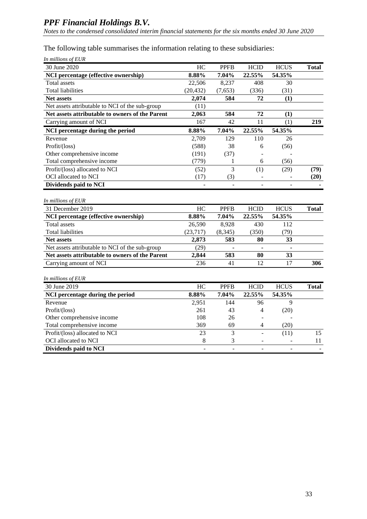*Notes to the condensed consolidated interim financial statements for the six months ended 30 June 2020*

The following table summarises the information relating to these subsidiaries:

| In millions of EUR                              |                |             |                              |             |              |
|-------------------------------------------------|----------------|-------------|------------------------------|-------------|--------------|
| 30 June 2020                                    | HC             | <b>PPFB</b> | <b>HCID</b>                  | <b>HCUS</b> | <b>Total</b> |
| NCI percentage (effective ownership)            | 8.88%          | 7.04%       | 22.55%                       | 54.35%      |              |
| <b>Total assets</b>                             | 22,506         | 8,237       | 408                          | 30          |              |
| <b>Total liabilities</b>                        | (20, 432)      | (7,653)     | (336)                        | (31)        |              |
| Net assets                                      | 2,074          | 584         | 72                           | (1)         |              |
| Net assets attributable to NCI of the sub-group | (11)           |             |                              |             |              |
| Net assets attributable to owners of the Parent | 2,063          | 584         | 72                           | (1)         |              |
| Carrying amount of NCI                          | 167            | 42          | 11                           | (1)         | 219          |
| NCI percentage during the period                | 8.88%          | 7.04%       | 22.55%                       | 54.35%      |              |
| Revenue                                         | 2,709          | 129         | 110                          | 26          |              |
| Profit/(loss)                                   | (588)          | 38          | 6                            | (56)        |              |
| Other comprehensive income                      | (191)          | (37)        |                              |             |              |
| Total comprehensive income                      | (779)          | 1           | 6                            | (56)        |              |
| Profit/(loss) allocated to NCI                  | (52)           | 3           | (1)                          | (29)        | (79)         |
| OCI allocated to NCI                            | (17)           | (3)         | $\qquad \qquad \blacksquare$ |             | (20)         |
| Dividends paid to NCI                           |                |             | $\frac{1}{2}$                |             |              |
|                                                 |                |             |                              |             |              |
| In millions of EUR                              |                |             |                              |             |              |
| 31 December 2019                                | HC             | <b>PPFB</b> | <b>HCID</b>                  | <b>HCUS</b> | <b>Total</b> |
| NCI percentage (effective ownership)            | 8.88%          | 7.04%       | 22.55%                       | 54.35%      |              |
| <b>Total assets</b>                             | 26,590         | 8,928       | 430                          | 112         |              |
| <b>Total liabilities</b>                        | (23,717)       | (8, 345)    | (350)                        | (79)        |              |
| <b>Net assets</b>                               | 2,873          | 583         | 80                           | 33          |              |
| Net assets attributable to NCI of the sub-group | (29)           |             |                              |             |              |
| Net assets attributable to owners of the Parent | 2,844          | 583         | 80                           | 33          |              |
| Carrying amount of NCI                          | 236            | 41          | 12                           | 17          | 306          |
|                                                 |                |             |                              |             |              |
| In millions of EUR                              |                |             |                              |             |              |
| 30 June 2019                                    | HC             | <b>PPFB</b> | <b>HCID</b>                  | <b>HCUS</b> | <b>Total</b> |
| NCI percentage during the period                | 8.88%          | 7.04%       | 22.55%                       | 54.35%      |              |
| Revenue                                         | 2,951          | 144         | 96                           | 9           |              |
| Profit/(loss)                                   | 261            | 43          | $\overline{4}$               | (20)        |              |
| Other comprehensive income                      | 108            | 26          |                              |             |              |
| Total comprehensive income                      | 369            | 69          | 4                            | (20)        |              |
| Profit/(loss) allocated to NCI                  | 23             | 3           | $\overline{a}$               | (11)        | 15           |
| OCI allocated to NCI                            | 8              | 3           |                              |             | 11           |
| Dividends paid to NCI                           | $\overline{a}$ | L.          |                              |             |              |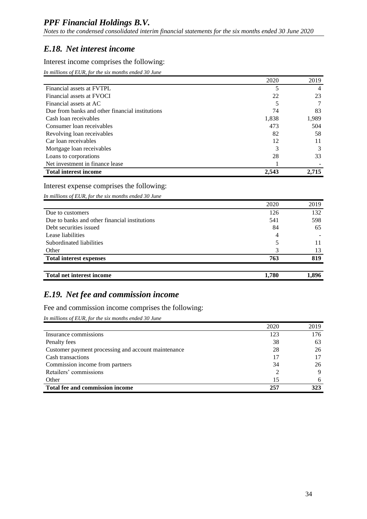*Notes to the condensed consolidated interim financial statements for the six months ended 30 June 2020*

#### *E.18. Net interest income*

#### Interest income comprises the following:

*In millions of EUR, for the six months ended 30 June*

|                                                 | 2020  | 2019  |
|-------------------------------------------------|-------|-------|
| Financial assets at FVTPL                       |       | 4     |
| Financial assets at FVOCI                       | 22    | 23    |
| Financial assets at AC                          |       |       |
| Due from banks and other financial institutions | 74    | 83    |
| Cash loan receivables                           | 1,838 | 1,989 |
| Consumer loan receivables                       | 473   | 504   |
| Revolving loan receivables                      | 82    | 58    |
| Car loan receivables                            | 12    | 11    |
| Mortgage loan receivables                       | 3     | 3     |
| Loans to corporations                           | 28    | 33    |
| Net investment in finance lease                 |       |       |
| <b>Total interest income</b>                    | 2.543 | 2.715 |

#### Interest expense comprises the following:

*In millions of EUR, for the six months ended 30 June*

|                                               | 2020  | 2019  |
|-----------------------------------------------|-------|-------|
| Due to customers                              | 126   | 132   |
| Due to banks and other financial institutions | 541   | 598   |
| Debt securities issued                        | 84    | 65    |
| Lease liabilities                             | 4     |       |
| Subordinated liabilities                      |       |       |
| Other                                         | 3     | 13    |
| <b>Total interest expenses</b>                | 763   | 819   |
|                                               |       |       |
| <b>Total net interest income</b>              | 1,780 | 1,896 |

## *E.19. Net fee and commission income*

Fee and commission income comprises the following:

*In millions of EUR, for the six months ended 30 June*

|                                                     | 2020 | 2019 |
|-----------------------------------------------------|------|------|
| Insurance commissions                               | 123  | 176  |
| Penalty fees                                        | 38   | 63   |
| Customer payment processing and account maintenance | 28   | 26   |
| Cash transactions                                   | 17   | 17   |
| Commission income from partners                     | 34   | 26   |
| Retailers' commissions                              |      | 9    |
| Other                                               | 15   | 6    |
| Total fee and commission income                     | 257  | 323  |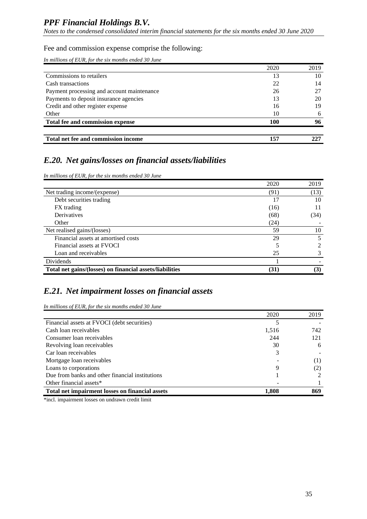*Notes to the condensed consolidated interim financial statements for the six months ended 30 June 2020*

#### Fee and commission expense comprise the following:

*In millions of EUR, for the six months ended 30 June*

|                                            | 2020 | 2019 |
|--------------------------------------------|------|------|
| Commissions to retailers                   | 13   | 10   |
| Cash transactions                          | 22   | 14   |
| Payment processing and account maintenance | 26   | 27   |
| Payments to deposit insurance agencies     | 13   | 20   |
| Credit and other register expense          | 16   | 19   |
| Other                                      | 10   | 6    |
| Total fee and commission expense           | 100  | 96   |
|                                            |      |      |
| Total net fee and commission income        | 157  | 225  |

## *E.20. Net gains/losses on financial assets/liabilities*

*In millions of EUR, for the six months ended 30 June*

|                                                          | 2020 | 2019     |
|----------------------------------------------------------|------|----------|
| Net trading income/(expense)                             | (91) | (13)     |
| Debt securities trading                                  | 17   | 10       |
| FX trading                                               | (16) |          |
| Derivatives                                              | (68) | (34)     |
| Other                                                    | (24) |          |
| Net realised gains/(losses)                              | 59   | 10       |
| Financial assets at amortised costs                      | 29   |          |
| Financial assets at FVOCI                                |      |          |
| Loan and receivables                                     | 25   |          |
| Dividends                                                |      |          |
| Total net gains/(losses) on financial assets/liabilities | (31) | $\bf(3)$ |

#### *E.21. Net impairment losses on financial assets*

*In millions of EUR, for the six months ended 30 June*

|                                                 | 2020  | 2019 |
|-------------------------------------------------|-------|------|
| Financial assets at FVOCI (debt securities)     |       |      |
| Cash loan receivables                           | 1,516 | 742  |
| Consumer loan receivables                       | 244   | 121  |
| Revolving loan receivables                      | 30    | 6    |
| Car loan receivables                            | 3     |      |
| Mortgage loan receivables                       |       | (1)  |
| Loans to corporations                           | 9     | (2)  |
| Due from banks and other financial institutions |       |      |
| Other financial assets*                         |       |      |
| Total net impairment losses on financial assets | 1,808 | 869  |

\*incl. impairment losses on undrawn credit limit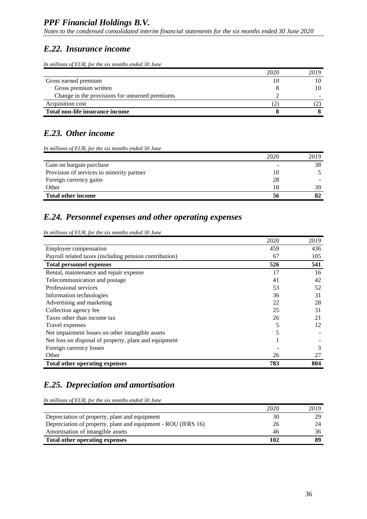*Notes to the condensed consolidated interim financial statements for the six months ended 30 June 2020*

#### *E.22. Insurance income*

*In millions of EUR, for the six months ended 30 June*

|                                                | 2020 | 2019 |
|------------------------------------------------|------|------|
| Gross earned premium                           | 10   |      |
| Gross premium written                          |      |      |
| Change in the provisions for unearned premiums |      |      |
| Acquisition cost                               | ' ک  |      |
| Total non-life insurance income                |      |      |

## *E.23. Other income*

*In millions of EUR, for the six months ended 30 June*

|                                           | 2020 | 2019 |
|-------------------------------------------|------|------|
| Gain on bargain purchase                  | -    | 38   |
| Provision of services to minority partner | 10   |      |
| Foreign currency gains                    | 28   |      |
| Other                                     | 18   | 39   |
| <b>Total other income</b>                 | 56   |      |

#### *E.24. Personnel expenses and other operating expenses*

*In millions of EUR, for the six months ended 30 June*

|                                                        | 2020 | 2019 |
|--------------------------------------------------------|------|------|
| Employee compensation                                  | 459  | 436  |
| Payroll related taxes (including pension contribution) | 67   | 105  |
| <b>Total personnel expenses</b>                        | 526  | 541  |
| Rental, maintenance and repair expense                 | 17   | 16   |
| Telecommunication and postage                          | 41   | 42   |
| Professional services                                  | 53   | 52   |
| Information technologies                               | 36   | 31   |
| Advertising and marketing                              | 22   | 28   |
| Collection agency fee                                  | 25   | 31   |
| Taxes other than income tax                            | 26   | 21   |
| Travel expenses                                        | 5    | 12   |
| Net impairment losses on other intangible assets       | 5    |      |
| Net loss on disposal of property, plant and equipment  |      |      |
| Foreign currency losses                                |      | 3    |
| Other                                                  | 26   | 27   |
| <b>Total other operating expenses</b>                  | 783  | 804  |

## *E.25. Depreciation and amortisation*

*In millions of EUR, for the six months ended 30 June*

|                                                               | 2020 | 2019 |
|---------------------------------------------------------------|------|------|
| Depreciation of property, plant and equipment                 | 30   | 29   |
| Depreciation of property, plant and equipment - ROU (IFRS 16) | 26   | 24   |
| Amortisation of intangible assets                             | 46   | 36   |
| Total other operating expenses                                | 102  |      |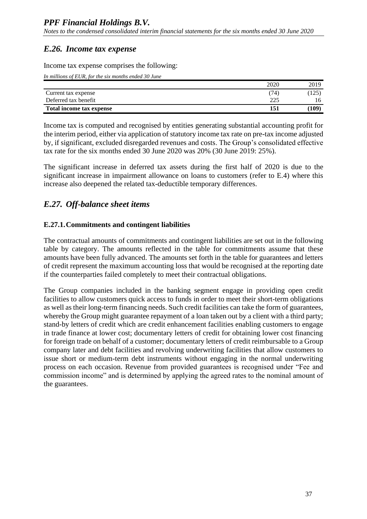## *E.26. Income tax expense*

Income tax expense comprises the following:

*In millions of EUR, for the six months ended 30 June*

|                          | 2020 | 2019  |
|--------------------------|------|-------|
| Current tax expense      | 74   | 125)  |
| Deferred tax benefit     | າາເ  | 16    |
| Total income tax expense | 151  | (109) |

Income tax is computed and recognised by entities generating substantial accounting profit for the interim period, either via application of statutory income tax rate on pre-tax income adjusted by, if significant, excluded disregarded revenues and costs. The Group's consolidated effective tax rate for the six months ended 30 June 2020 was 20% (30 June 2019: 25%).

The significant increase in deferred tax assets during the first half of 2020 is due to the significant increase in impairment allowance on loans to customers (refer to E.4) where this increase also deepened the related tax-deductible temporary differences.

## *E.27. Off-balance sheet items*

#### **E.27.1.Commitments and contingent liabilities**

The contractual amounts of commitments and contingent liabilities are set out in the following table by category. The amounts reflected in the table for commitments assume that these amounts have been fully advanced. The amounts set forth in the table for guarantees and letters of credit represent the maximum accounting loss that would be recognised at the reporting date if the counterparties failed completely to meet their contractual obligations.

The Group companies included in the banking segment engage in providing open credit facilities to allow customers quick access to funds in order to meet their short-term obligations as well as their long-term financing needs. Such credit facilities can take the form of guarantees, whereby the Group might guarantee repayment of a loan taken out by a client with a third party; stand-by letters of credit which are credit enhancement facilities enabling customers to engage in trade finance at lower cost; documentary letters of credit for obtaining lower cost financing for foreign trade on behalf of a customer; documentary letters of credit reimbursable to a Group company later and debt facilities and revolving underwriting facilities that allow customers to issue short or medium-term debt instruments without engaging in the normal underwriting process on each occasion. Revenue from provided guarantees is recognised under "Fee and commission income" and is determined by applying the agreed rates to the nominal amount of the guarantees.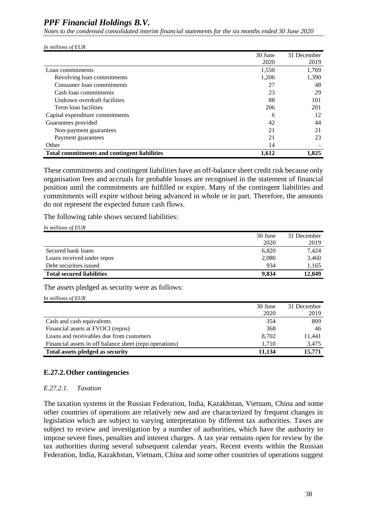*Notes to the condensed consolidated interim financial statements for the six months ended 30 June 2020*

*In millions of EUR*

|                                                     | 30 June | 31 December |
|-----------------------------------------------------|---------|-------------|
|                                                     | 2020    | 2019        |
| Loan commitments                                    | 1,550   | 1,769       |
| Revolving loan commitments                          | 1,206   | 1,390       |
| Consumer loan commitments                           | 27      | 48          |
| Cash loan commitments                               | 23      | 29          |
| Undrawn overdraft facilities                        | 88      | 101         |
| Term loan facilities                                | 206     | 201         |
| Capital expenditure commitments                     | 6       | 12          |
| Guarantees provided                                 | 42      | 44          |
| Non-payment guarantees                              | 21      | 21          |
| Payment guarantees                                  | 21      | 23          |
| Other                                               | 14      |             |
| <b>Total commitments and contingent liabilities</b> | 1,612   | 1.825       |

These commitments and contingent liabilities have an off-balance sheet credit risk because only organisation fees and accruals for probable losses are recognised in the statement of financial position until the commitments are fulfilled or expire. Many of the contingent liabilities and commitments will expire without being advanced in whole or in part. Therefore, the amounts do not represent the expected future cash flows.

The following table shows secured liabilities:

*In millions of EUR*

|                                  | 30 June | 31 December |
|----------------------------------|---------|-------------|
|                                  | 2020    | 2019        |
| Secured bank loans               | 6,820   | 7.424       |
| Loans received under repos       | 2,080   | 3,460       |
| Debt securities issued           | 934     | 1,165       |
| <b>Total secured liabilities</b> | 9.834   | 12,049      |

The assets pledged as security were as follows:

*In millions of EUR*

|                                                         | 30 June | 31 December |
|---------------------------------------------------------|---------|-------------|
|                                                         | 2020    | 2019        |
| Cash and cash equivalents                               | 354     | 809         |
| Financial assets at FVOCI (repos)                       | 368     | 46          |
| Loans and receivables due from customers                | 8,702   | 11,441      |
| Financial assets in off balance sheet (repo operations) | 1.710   | 3,475       |
| Total assets pledged as security                        | 11.134  | 15,771      |

#### **E.27.2.Other contingencies**

#### *E.27.2.1. Taxation*

The taxation systems in the Russian Federation, India, Kazakhstan, Vietnam, China and some other countries of operations are relatively new and are characterized by frequent changes in legislation which are subject to varying interpretation by different tax authorities. Taxes are subject to review and investigation by a number of authorities, which have the authority to impose severe fines, penalties and interest charges. A tax year remains open for review by the tax authorities during several subsequent calendar years. Recent events within the Russian Federation, India, Kazakhstan, Vietnam, China and some other countries of operations suggest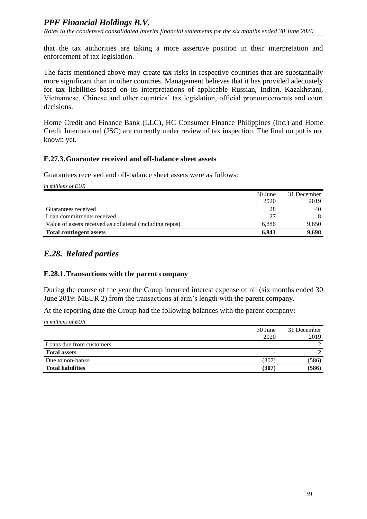that the tax authorities are taking a more assertive position in their interpretation and enforcement of tax legislation.

The facts mentioned above may create tax risks in respective countries that are substantially more significant than in other countries. Management believes that it has provided adequately for tax liabilities based on its interpretations of applicable Russian, Indian, Kazakhstani, Vietnamese, Chinese and other countries' tax legislation, official pronouncements and court decisions.

Home Credit and Finance Bank (LLC), HC Consumer Finance Philippines (Inc.) and Home Credit International (JSC) are currently under review of tax inspection. The final output is not known yet.

#### **E.27.3.Guarantee received and off-balance sheet assets**

Guarantees received and off-balance sheet assets were as follows:

*In millions of EUR*

|                                                          | 30 June | 31 December |
|----------------------------------------------------------|---------|-------------|
|                                                          | 2020    | 2019        |
| Guarantees received                                      | 28      | 40          |
| Loan commitments received                                | 27      |             |
| Value of assets received as collateral (including repos) | 6.886   | 9,650       |
| <b>Total contingent assets</b>                           | 6.941   | 9.698       |

## *E.28. Related parties*

#### **E.28.1.Transactions with the parent company**

During the course of the year the Group incurred interest expense of nil (six months ended 30 June 2019: MEUR 2) from the transactions at arm's length with the parent company.

At the reporting date the Group had the following balances with the parent company:

*In millions of EUR*

|                          | 30 June | 31 December |
|--------------------------|---------|-------------|
|                          | 2020    | 2019        |
| Loans due from customers |         |             |
| <b>Total assets</b>      |         |             |
| Due to non-banks         | (307)   | (586)       |
| <b>Total liabilities</b> | (307    | (586)       |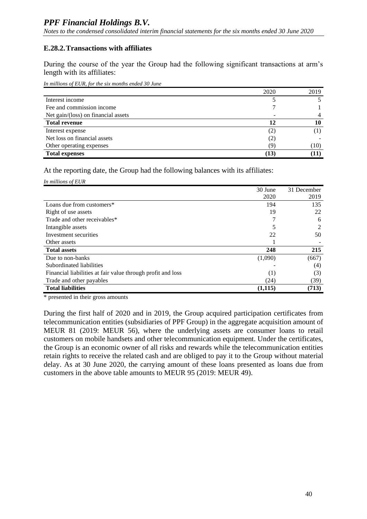#### **E.28.2.Transactions with affiliates**

During the course of the year the Group had the following significant transactions at arm's length with its affiliates:

*In millions of EUR, for the six months ended 30 June*

|                                     | 2020 | 2019 |
|-------------------------------------|------|------|
| Interest income                     |      |      |
| Fee and commission income           |      |      |
| Net gain/(loss) on financial assets |      |      |
| <b>Total revenue</b>                |      |      |
| Interest expense                    | (2)  |      |
| Net loss on financial assets        | (2)  |      |
| Other operating expenses            | (9)  | (10) |
| <b>Total expenses</b>               | (13) |      |

At the reporting date, the Group had the following balances with its affiliates:

*In millions of EUR*

|                                                             | 30 June | 31 December    |
|-------------------------------------------------------------|---------|----------------|
|                                                             | 2020    | 2019           |
| Loans due from customers*                                   | 194     | 135            |
| Right of use assets                                         | 19      | 22             |
| Trade and other receivables*                                |         | 6              |
| Intangible assets                                           |         | $\mathfrak{D}$ |
| Investment securities                                       | 22      | 50             |
| Other assets                                                |         |                |
| <b>Total assets</b>                                         | 248     | 215            |
| Due to non-banks                                            | (1,090) | (667)          |
| Subordinated liabilities                                    |         | (4)            |
| Financial liabilities at fair value through profit and loss | (1)     | (3)            |
| Trade and other payables                                    | (24)    | (39)           |
| <b>Total liabilities</b>                                    | (1,115) | (713)          |

\* presented in their gross amounts

During the first half of 2020 and in 2019, the Group acquired participation certificates from telecommunication entities (subsidiaries of PPF Group) in the aggregate acquisition amount of MEUR 81 (2019: MEUR 56), where the underlying assets are consumer loans to retail customers on mobile handsets and other telecommunication equipment. Under the certificates, the Group is an economic owner of all risks and rewards while the telecommunication entities retain rights to receive the related cash and are obliged to pay it to the Group without material delay. As at 30 June 2020, the carrying amount of these loans presented as loans due from customers in the above table amounts to MEUR 95 (2019: MEUR 49).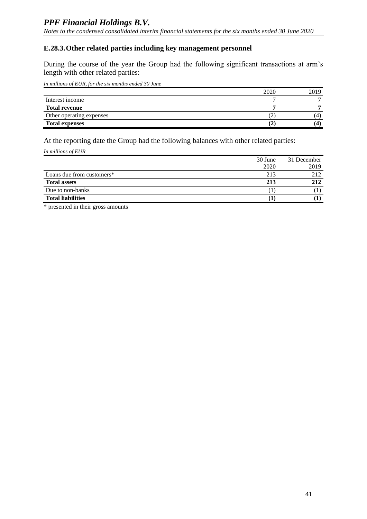#### **E.28.3.Other related parties including key management personnel**

During the course of the year the Group had the following significant transactions at arm's length with other related parties:

*In millions of EUR, for the six months ended 30 June*

|                          | 2020 | 2019 |
|--------------------------|------|------|
| Interest income          |      |      |
| <b>Total revenue</b>     |      |      |
| Other operating expenses |      |      |
| <b>Total expenses</b>    | ے ،  |      |

At the reporting date the Group had the following balances with other related parties:

*In millions of EUR*

|                           | 30 June | 31 December |
|---------------------------|---------|-------------|
|                           | 2020    | 2019        |
| Loans due from customers* | 213     | 212         |
| <b>Total assets</b>       | 213     | 212         |
| Due to non-banks          |         |             |
| <b>Total liabilities</b>  |         |             |

\* presented in their gross amounts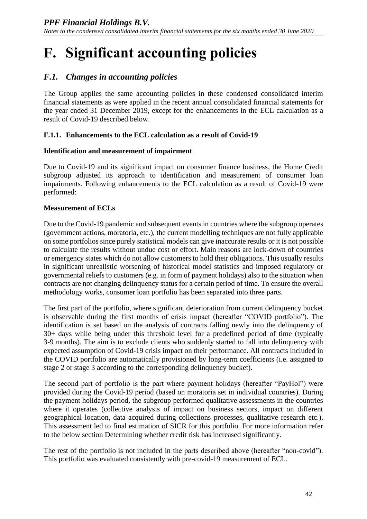# <span id="page-62-0"></span>**F. Significant accounting policies**

## *F.1. Changes in accounting policies*

The Group applies the same accounting policies in these condensed consolidated interim financial statements as were applied in the recent annual consolidated financial statements for the year ended 31 December 2019, except for the enhancements in the ECL calculation as a result of Covid-19 described below.

#### **F.1.1. Enhancements to the ECL calculation as a result of Covid-19**

#### **Identification and measurement of impairment**

Due to Covid-19 and its significant impact on consumer finance business, the Home Credit subgroup adjusted its approach to identification and measurement of consumer loan impairments. Following enhancements to the ECL calculation as a result of Covid-19 were performed:

#### **Measurement of ECLs**

Due to the Covid-19 pandemic and subsequent events in countries where the subgroup operates (government actions, moratoria, etc.), the current modelling techniques are not fully applicable on some portfolios since purely statistical models can give inaccurate results or it is not possible to calculate the results without undue cost or effort. Main reasons are lock-down of countries or emergency states which do not allow customers to hold their obligations. This usually results in significant unrealistic worsening of historical model statistics and imposed regulatory or governmental reliefs to customers (e.g. in form of payment holidays) also to the situation when contracts are not changing delinquency status for a certain period of time. To ensure the overall methodology works, consumer loan portfolio has been separated into three parts.

The first part of the portfolio, where significant deterioration from current delinquency bucket is observable during the first months of crisis impact (hereafter "COVID portfolio"). The identification is set based on the analysis of contracts falling newly into the delinquency of 30+ days while being under this threshold level for a predefined period of time (typically 3-9 months). The aim is to exclude clients who suddenly started to fall into delinquency with expected assumption of Covid-19 crisis impact on their performance. All contracts included in the COVID portfolio are automatically provisioned by long-term coefficients (i.e. assigned to stage 2 or stage 3 according to the corresponding delinquency bucket).

The second part of portfolio is the part where payment holidays (hereafter "PayHol") were provided during the Covid-19 period (based on moratoria set in individual countries). During the payment holidays period, the subgroup performed qualitative assessments in the countries where it operates (collective analysis of impact on business sectors, impact on different geographical location, data acquired during collections processes, qualitative research etc.). This assessment led to final estimation of SICR for this portfolio. For more information refer to the below section Determining whether credit risk has increased significantly.

The rest of the portfolio is not included in the parts described above (hereafter "non-covid"). This portfolio was evaluated consistently with pre-covid-19 measurement of ECL.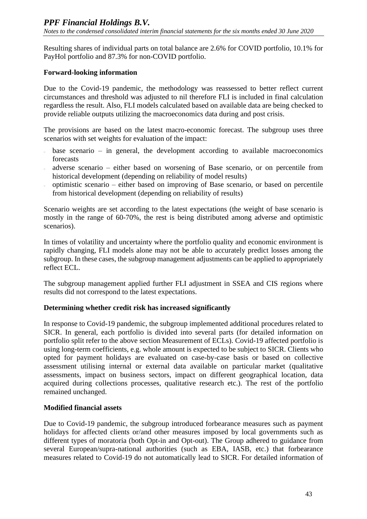Resulting shares of individual parts on total balance are 2.6% for COVID portfolio, 10.1% for PayHol portfolio and 87.3% for non-COVID portfolio.

#### **Forward-looking information**

Due to the Covid-19 pandemic, the methodology was reassessed to better reflect current circumstances and threshold was adjusted to nil therefore FLI is included in final calculation regardless the result. Also, FLI models calculated based on available data are being checked to provide reliable outputs utilizing the macroeconomics data during and post crisis.

The provisions are based on the latest macro-economic forecast. The subgroup uses three scenarios with set weights for evaluation of the impact:

- base scenario in general, the development according to available macroeconomics forecasts
- adverse scenario either based on worsening of Base scenario, or on percentile from historical development (depending on reliability of model results)
- optimistic scenario either based on improving of Base scenario, or based on percentile from historical development (depending on reliability of results)

Scenario weights are set according to the latest expectations (the weight of base scenario is mostly in the range of 60-70%, the rest is being distributed among adverse and optimistic scenarios).

In times of volatility and uncertainty where the portfolio quality and economic environment is rapidly changing, FLI models alone may not be able to accurately predict losses among the subgroup. In these cases, the subgroup management adjustments can be applied to appropriately reflect ECL.

The subgroup management applied further FLI adjustment in SSEA and CIS regions where results did not correspond to the latest expectations.

#### **Determining whether credit risk has increased significantly**

In response to Covid-19 pandemic, the subgroup implemented additional procedures related to SICR. In general, each portfolio is divided into several parts (for detailed information on portfolio split refer to the above section Measurement of ECLs). Covid-19 affected portfolio is using long-term coefficients, e.g. whole amount is expected to be subject to SICR. Clients who opted for payment holidays are evaluated on case-by-case basis or based on collective assessment utilising internal or external data available on particular market (qualitative assessments, impact on business sectors, impact on different geographical location, data acquired during collections processes, qualitative research etc.). The rest of the portfolio remained unchanged.

#### **Modified financial assets**

Due to Covid-19 pandemic, the subgroup introduced forbearance measures such as payment holidays for affected clients or/and other measures imposed by local governments such as different types of moratoria (both Opt-in and Opt-out). The Group adhered to guidance from several European/supra-national authorities (such as EBA, IASB, etc.) that forbearance measures related to Covid-19 do not automatically lead to SICR. For detailed information of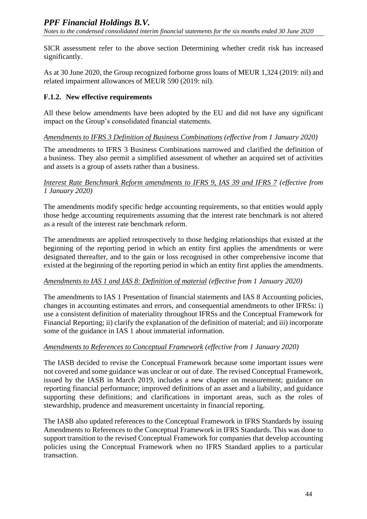SICR assessment refer to the above section Determining whether credit risk has increased significantly.

As at 30 June 2020, the Group recognized forborne gross loans of MEUR 1,324 (2019: nil) and related impairment allowances of MEUR 590 (2019: nil).

#### **F.1.2. New effective requirements**

All these below amendments have been adopted by the EU and did not have any significant impact on the Group's consolidated financial statements.

#### *Amendments to IFRS 3 Definition of Business Combinations (effective from 1 January 2020)*

The amendments to IFRS 3 Business Combinations narrowed and clarified the definition of a business. They also permit a simplified assessment of whether an acquired set of activities and assets is a group of assets rather than a business.

#### *Interest Rate Benchmark Reform amendments to IFRS 9, IAS 39 and IFRS 7 (effective from 1 January 2020)*

The amendments modify specific hedge accounting requirements, so that entities would apply those hedge accounting requirements assuming that the interest rate benchmark is not altered as a result of the interest rate benchmark reform.

The amendments are applied retrospectively to those hedging relationships that existed at the beginning of the reporting period in which an entity first applies the amendments or were designated thereafter, and to the gain or loss recognised in other comprehensive income that existed at the beginning of the reporting period in which an entity first applies the amendments.

#### *Amendments to IAS 1 and IAS 8: Definition of material (effective from 1 January 2020)*

The amendments to IAS 1 Presentation of financial statements and IAS 8 Accounting policies, changes in accounting estimates and errors, and consequential amendments to other IFRSs: i) use a consistent definition of materiality throughout IFRSs and the Conceptual Framework for Financial Reporting; ii) clarify the explanation of the definition of material; and iii) incorporate some of the guidance in IAS 1 about immaterial information.

#### *Amendments to References to Conceptual Framework (effective from 1 January 2020)*

The IASB decided to revise the Conceptual Framework because some important issues were not covered and some guidance was unclear or out of date. The revised Conceptual Framework, issued by the IASB in March 2019, includes a new chapter on measurement; guidance on reporting financial performance; improved definitions of an asset and a liability, and guidance supporting these definitions; and clarifications in important areas, such as the roles of stewardship, prudence and measurement uncertainty in financial reporting.

The IASB also updated references to the Conceptual Framework in IFRS Standards by issuing Amendments to References to the Conceptual Framework in IFRS Standards. This was done to support transition to the revised Conceptual Framework for companies that develop accounting policies using the Conceptual Framework when no IFRS Standard applies to a particular transaction.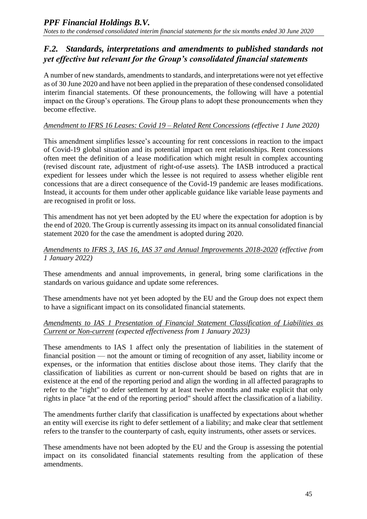## *F.2. Standards, interpretations and amendments to published standards not yet effective but relevant for the Group's consolidated financial statements*

A number of new standards, amendments to standards, and interpretations were not yet effective as of 30 June 2020 and have not been applied in the preparation of these condensed consolidated interim financial statements. Of these pronouncements, the following will have a potential impact on the Group's operations. The Group plans to adopt these pronouncements when they become effective.

#### *Amendment to IFRS 16 Leases: Covid 19 – Related Rent Concessions (effective 1 June 2020)*

This amendment simplifies lessee's accounting for rent concessions in reaction to the impact of Covid-19 global situation and its potential impact on rent relationships. Rent concessions often meet the definition of a lease modification which might result in complex accounting (revised discount rate, adjustment of right-of-use assets). The IASB introduced a practical expedient for lessees under which the lessee is not required to assess whether eligible rent concessions that are a direct consequence of the Covid-19 pandemic are leases modifications. Instead, it accounts for them under other applicable guidance like variable lease payments and are recognised in profit or loss.

This amendment has not yet been adopted by the EU where the expectation for adoption is by the end of 2020. The Group is currently assessing its impact on its annual consolidated financial statement 2020 for the case the amendment is adopted during 2020.

#### *Amendments to IFRS 3, IAS 16, IAS 37 and Annual Improvements 2018-2020 (effective from 1 January 2022)*

These amendments and annual improvements, in general, bring some clarifications in the standards on various guidance and update some references.

These amendments have not yet been adopted by the EU and the Group does not expect them to have a significant impact on its consolidated financial statements.

#### *Amendments to IAS 1 Presentation of Financial Statement Classification of Liabilities as Current or Non-current (expected effectiveness from 1 January 2023)*

These amendments to IAS 1 affect only the presentation of liabilities in the statement of financial position — not the amount or timing of recognition of any asset, liability income or expenses, or the information that entities disclose about those items. They clarify that the classification of liabilities as current or non-current should be based on rights that are in existence at the end of the reporting period and align the wording in all affected paragraphs to refer to the "right" to defer settlement by at least twelve months and make explicit that only rights in place "at the end of the reporting period" should affect the classification of a liability.

The amendments further clarify that classification is unaffected by expectations about whether an entity will exercise its right to defer settlement of a liability; and make clear that settlement refers to the transfer to the counterparty of cash, equity instruments, other assets or services.

These amendments have not been adopted by the EU and the Group is assessing the potential impact on its consolidated financial statements resulting from the application of these amendments.